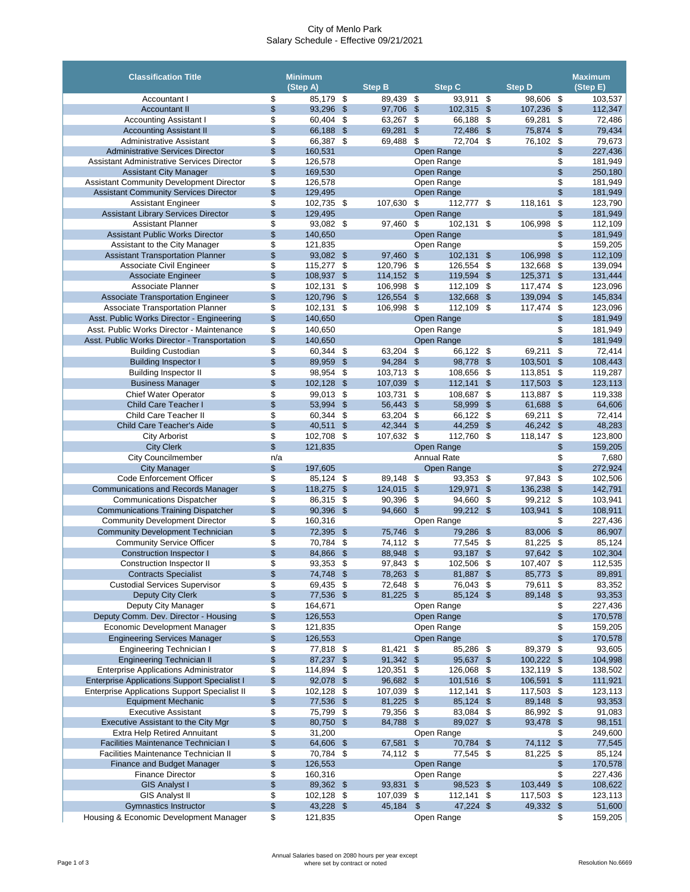## City of Menlo Park Salary Schedule - Effective 09/21/2021

| <b>Classification Title</b>                                                   |                           | <b>Minimum</b>     |                                   |                    |                            |                          |                         |                    |                            | <b>Maximum</b>     |
|-------------------------------------------------------------------------------|---------------------------|--------------------|-----------------------------------|--------------------|----------------------------|--------------------------|-------------------------|--------------------|----------------------------|--------------------|
|                                                                               |                           | (Step A)           |                                   | <b>Step B</b>      |                            | <b>Step C</b>            |                         | <b>Step D</b>      |                            | (Step E)           |
| Accountant I                                                                  | \$                        | 85,179             | \$                                | 89,439             | \$                         | 93,911                   | \$                      | 98,606             | \$                         | 103,537            |
| <b>Accountant II</b>                                                          | \$                        | 93,296             | $\boldsymbol{\mathsf{S}}$         | 97,706             | $\boldsymbol{\theta}$      | 102,315                  | $\frac{1}{2}$           | 107,236            | \$                         | 112,347            |
| <b>Accounting Assistant I</b>                                                 | \$                        | 60,404             | \$                                | 63,267             | $\boldsymbol{\mathsf{S}}$  | 66,188                   | \$                      | 69,281             | \$                         | 72,486             |
| <b>Accounting Assistant II</b>                                                | \$                        | 66,188             | $\boldsymbol{\mathsf{\$}}$        | 69,281             | $\frac{1}{2}$              | 72,486                   | $\mathcal{S}$           | 75,874 \$          |                            | 79,434             |
| <b>Administrative Assistant</b><br><b>Administrative Services Director</b>    | \$<br>$\frac{1}{2}$       | 66,387<br>160,531  | \$                                | 69,488             | \$                         | 72,704                   | \$                      | 76,102             | \$<br>\$                   | 79,673<br>227,436  |
| <b>Assistant Administrative Services Director</b>                             | \$                        | 126,578            |                                   |                    |                            | Open Range<br>Open Range |                         |                    | \$                         | 181,949            |
| <b>Assistant City Manager</b>                                                 | \$                        | 169,530            |                                   |                    |                            | Open Range               |                         |                    | $\boldsymbol{\$}$          | 250,180            |
| <b>Assistant Community Development Director</b>                               | \$                        | 126,578            |                                   |                    |                            | Open Range               |                         |                    | \$                         | 181,949            |
| <b>Assistant Community Services Director</b>                                  | \$                        | 129,495            |                                   |                    |                            | Open Range               |                         |                    | \$                         | 181,949            |
| <b>Assistant Engineer</b>                                                     | \$                        | 102,735 \$         |                                   | 107,630            | \$                         | 112,777                  | $\sqrt[6]{3}$           | 118,161            | \$                         | 123,790            |
| <b>Assistant Library Services Director</b>                                    | \$                        | 129,495            |                                   |                    |                            | Open Range               |                         |                    | $\frac{1}{2}$              | 181,949            |
| <b>Assistant Planner</b>                                                      | \$                        | 93,082             | \$                                | 97,460             | \$                         | 102,131                  | \$                      | 106,998            | \$                         | 112,109            |
| <b>Assistant Public Works Director</b>                                        | $\frac{1}{2}$             | 140,650            |                                   |                    |                            | Open Range               |                         |                    | $\frac{1}{2}$              | 181,949            |
| Assistant to the City Manager                                                 | \$                        | 121,835            |                                   |                    |                            | Open Range               |                         |                    | \$                         | 159,205            |
| <b>Assistant Transportation Planner</b>                                       | \$                        | 93,082             | $\sqrt[6]{3}$                     | 97,460             | $\mathfrak{S}$             | 102,131                  | $\mathfrak{F}$          | 106,998            | $\$\$                      | 112,109            |
| <b>Associate Civil Engineer</b>                                               | \$                        | 115,277            | \$                                | 120,796            | \$                         | 126,554                  | \$                      | 132,668            | \$                         | 139,094            |
| Associate Engineer<br><b>Associate Planner</b>                                | $\frac{1}{2}$             | 108,937            | $\boldsymbol{\mathsf{S}}$         | 114,152 \$         |                            | 119,594                  | $\sqrt[6]{3}$           | 125,371            | $\sqrt[6]{\frac{1}{2}}$    | 131,444            |
| <b>Associate Transportation Engineer</b>                                      | \$<br>$\frac{1}{2}$       | 102,131<br>120,796 | \$<br>$\boldsymbol{\mathsf{\$}}$  | 106,998<br>126,554 | \$<br>$\$\$                | 112,109<br>132,668       | \$<br>-\$               | 117,474<br>139,094 | \$                         | 123,096<br>145,834 |
| <b>Associate Transportation Planner</b>                                       | \$                        | 102,131            | \$                                | 106,998            | $\boldsymbol{\mathsf{\$}}$ | 112,109                  | \$                      | 117,474            | \$<br>\$                   | 123,096            |
| Asst. Public Works Director - Engineering                                     | \$                        | 140,650            |                                   |                    |                            | Open Range               |                         |                    | \$                         | 181,949            |
| Asst. Public Works Director - Maintenance                                     | \$                        | 140,650            |                                   |                    |                            | Open Range               |                         |                    | \$                         | 181,949            |
| Asst. Public Works Director - Transportation                                  | \$                        | 140,650            |                                   |                    |                            | Open Range               |                         |                    | $\frac{1}{2}$              | 181,949            |
| <b>Building Custodian</b>                                                     | \$                        | 60,344             | \$                                | 63,204             | \$                         | 66,122 \$                |                         | 69,211             | \$                         | 72,414             |
| <b>Building Inspector I</b>                                                   | $\boldsymbol{\mathsf{S}}$ | 89,959             | $\boldsymbol{\mathsf{\$}}$        | 94,284             | $\sqrt[6]{\frac{1}{2}}$    | 98,778                   | $\sqrt[6]{3}$           | 103,501            | $\frac{1}{2}$              | 108,443            |
| <b>Building Inspector II</b>                                                  | \$                        | 98,954             | \$                                | 103,713            | \$                         | 108,656                  | \$                      | 113,851            | \$                         | 119,287            |
| <b>Business Manager</b>                                                       | \$                        | 102,128            | $\boldsymbol{\mathsf{S}}$         | 107,039            | $\frac{1}{2}$              | 112,141                  | $\mathfrak{F}$          | 117,503            | \$                         | 123,113            |
| <b>Chief Water Operator</b>                                                   | \$                        | 99,013             | \$                                | 103,731            | \$                         | 108,687                  | \$                      | 113,887            | \$                         | 119,338            |
| <b>Child Care Teacher I</b>                                                   | \$                        | 53,994             | $\boldsymbol{\mathsf{S}}$         | 56,443             | $\$\$                      | 58,999                   | $\mathfrak{S}$          | 61,688             | $\mathfrak{S}$             | 64,606             |
| <b>Child Care Teacher II</b>                                                  | \$                        | 60,344             | \$                                | 63,204             | \$                         | 66,122                   | \$                      | 69,211             | \$                         | 72,414             |
| <b>Child Care Teacher's Aide</b>                                              | \$                        | 40,511             | $\mathfrak{F}$                    | 42,344             | $\frac{1}{2}$              | 44,259                   | $\mathcal{S}$           | 46,242 \$          |                            | 48,283             |
| <b>City Arborist</b>                                                          | \$                        | 102,708            | \$                                | 107,632            | \$                         | 112,760                  | \$                      | 118,147            | \$                         | 123,800            |
| <b>City Clerk</b>                                                             | $\frac{1}{2}$             | 121,835            |                                   |                    |                            | Open Range               |                         |                    | \$                         | 159,205            |
| <b>City Councilmember</b>                                                     | n/a                       |                    |                                   |                    |                            | <b>Annual Rate</b>       |                         |                    | \$                         | 7,680              |
| <b>City Manager</b>                                                           | \$                        | 197,605            |                                   |                    |                            | Open Range               |                         |                    | \$                         | 272,924            |
| <b>Code Enforcement Officer</b>                                               | \$                        | 85,124 \$          |                                   | 89,148 \$          |                            | 93,353                   | \$                      | 97,843             | \$                         | 102,506            |
| <b>Communications and Records Manager</b>                                     | $\frac{1}{2}$             | 118,275            | $\boldsymbol{\mathsf{\$}}$        | 124,015 \$         |                            | 129,971                  | $\sqrt[6]{\frac{1}{2}}$ | 136,238            | \$                         | 142,791            |
| <b>Communications Dispatcher</b><br><b>Communications Training Dispatcher</b> | \$<br>\$                  | 86,315<br>90,396   | \$<br>$\mathcal{L}$               | 90,396<br>94,660   | \$<br>$\$\$                | 94,660<br>99,212 \$      | \$                      | 99,212<br>103,941  | \$<br>\$                   | 103,941<br>108,911 |
| <b>Community Development Director</b>                                         | \$                        | 160,316            |                                   |                    |                            | Open Range               |                         |                    | \$                         | 227,436            |
| <b>Community Development Technician</b>                                       | $\frac{1}{2}$             | 72,395             | $\sqrt[6]{3}$                     | 75,746             | $\sqrt[6]{3}$              | 79,286                   | $\sqrt[6]{3}$           | 83,006             | $\$\$                      | 86,907             |
| <b>Community Service Officer</b>                                              | \$                        | 70,784             | \$                                | 74,112 \$          |                            | 77,545                   | \$                      | 81,225             | \$                         | 85,124             |
| <b>Construction Inspector I</b>                                               | \$                        | 84,866             | $\boldsymbol{\hat{\theta}}$       | 88,948             | \$                         | 93,187                   | $\mathcal{L}$           | 97,642             | \$                         | 102,304            |
| Construction Inspector II                                                     | \$                        | 93,353             | \$                                | 97,843             | $\boldsymbol{\mathsf{\$}}$ | 102,506                  | \$                      | 107,407            | \$                         | 112,535            |
| <b>Contracts Specialist</b>                                                   | $\frac{1}{2}$             | 74,748             | $\mathfrak{S}$                    | 78,263             | $\sqrt[6]{3}$              | 81,887                   | \$                      | 85,773 \$          |                            | 89,891             |
| <b>Custodial Services Supervisor</b>                                          | \$                        | 69,435             | \$                                | 72,648             | \$                         | 76,043                   | \$                      | 79,611             | \$                         | 83,352             |
| <b>Deputy City Clerk</b>                                                      | \$                        | 77,536             | \$                                | 81,225             | $\$\$                      | 85,124 \$                |                         | 89,148             | \$                         | 93,353             |
| Deputy City Manager                                                           | \$                        | 164,671            |                                   |                    |                            | Open Range               |                         |                    | \$                         | 227,436            |
| Deputy Comm. Dev. Director - Housing                                          | \$                        | 126,553            |                                   |                    |                            | Open Range               |                         |                    | $\boldsymbol{\mathsf{\$}}$ | 170,578            |
| <b>Economic Development Manager</b>                                           | \$                        | 121,835            |                                   |                    |                            | Open Range               |                         |                    | \$                         | 159,205            |
| <b>Engineering Services Manager</b>                                           | $\frac{1}{2}$             | 126,553            |                                   |                    |                            | <b>Open Range</b>        |                         |                    | $\frac{1}{2}$              | 170,578            |
| <b>Engineering Technician I</b>                                               | \$                        | 77,818             | \$                                | 81,421             | \$                         | 85,286                   | \$                      | 89,379             | \$                         | 93,605             |
| <b>Engineering Technician II</b>                                              | \$                        | 87,237             | $\mathcal{L}$                     | 91,342             | $\sqrt[6]{3}$              | 95,637                   | $\mathcal{S}$           | 100,222            | $\boldsymbol{\mathsf{S}}$  | 104,998            |
| <b>Enterprise Applications Administrator</b>                                  | \$                        | 114,894            | \$                                | 120,351            | \$                         | 126,068                  | \$                      | 132,119            | \$                         | 138,502            |
| <b>Enterprise Applications Support Specialist I</b>                           | $\frac{1}{2}$             | 92,078             | $\boldsymbol{\mathsf{S}}$         | 96,682 \$          |                            | 101,516                  | $\sqrt[6]{3}$           | 106,591            | $\frac{1}{2}$              | 111,921            |
| <b>Enterprise Applications Support Specialist II</b>                          | \$                        | 102,128            | \$                                | 107,039            | \$                         | 112,141                  | \$                      | 117,503            | \$                         | 123,113            |
| <b>Equipment Mechanic</b><br><b>Executive Assistant</b>                       | \$                        | 77,536             | $\mathcal{L}$                     | 81,225             | $\frac{1}{2}$              | 85,124                   | $\mathcal{S}$           | 89,148             | \$                         | 93,353             |
|                                                                               | \$<br>\$                  | 75,799<br>80,750   | \$<br>$\boldsymbol{\hat{\theta}}$ | 79,356<br>84,788   | \$<br>$\$\$                | 83,084<br>89,027 \$      | \$                      | 86,992<br>93,478   | \$                         | 91,083<br>98,151   |
| Executive Assistant to the City Mgr<br><b>Extra Help Retired Annuitant</b>    | \$                        | 31,200             |                                   |                    |                            | Open Range               |                         |                    | \$<br>\$                   | 249,600            |
| <b>Facilities Maintenance Technician I</b>                                    | \$                        | 64,606 \$          |                                   | 67,581 \$          |                            | 70,784 \$                |                         | 74,112 \$          |                            | 77,545             |
| <b>Facilities Maintenance Technician II</b>                                   | \$                        | 70,784 \$          |                                   | 74,112 \$          |                            | 77,545 \$                |                         | 81,225             | \$                         | 85,124             |
| <b>Finance and Budget Manager</b>                                             | \$                        | 126,553            |                                   |                    |                            | Open Range               |                         |                    | \$                         | 170,578            |
| <b>Finance Director</b>                                                       | \$                        | 160,316            |                                   |                    |                            | Open Range               |                         |                    | \$                         | 227,436            |
| <b>GIS Analyst I</b>                                                          | \$                        | 89,362 \$          |                                   | 93,831             | $\sqrt[6]{3}$              | 98,523 \$                |                         | 103,449            | $\frac{1}{2}$              | 108,622            |
| <b>GIS Analyst II</b>                                                         | \$                        | 102,128            | \$                                | 107,039            | \$                         | 112,141                  | - \$                    | 117,503            | \$                         | 123,113            |
| <b>Gymnastics Instructor</b>                                                  | \$                        | 43,228 \$          |                                   | 45,184             | $\frac{1}{2}$              | 47,224 \$                |                         | 49,332 \$          |                            | 51,600             |
| Housing & Economic Development Manager                                        | \$                        | 121,835            |                                   |                    |                            | Open Range               |                         |                    | \$                         | 159,205            |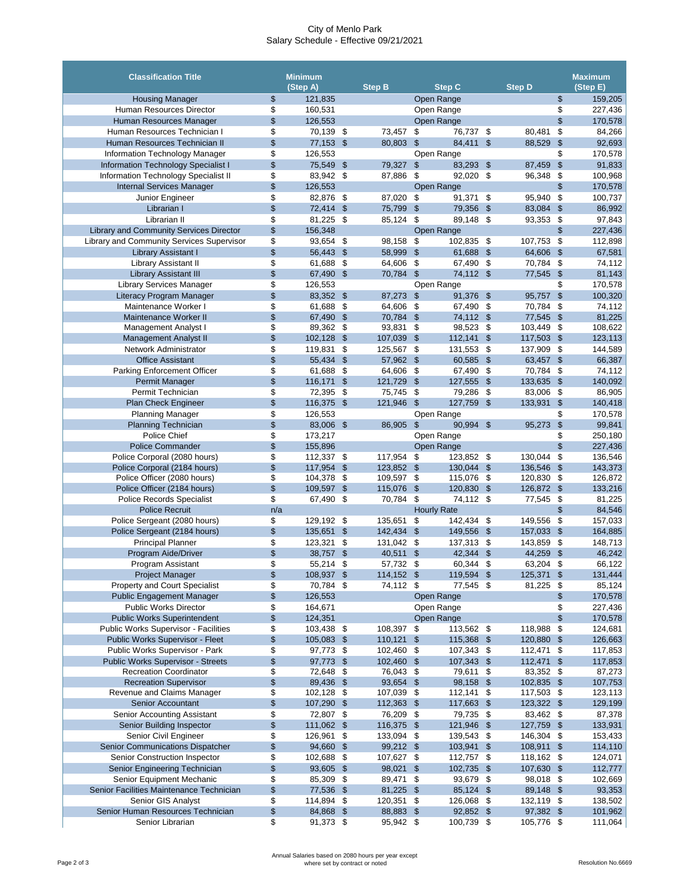## City of Menlo Park Salary Schedule - Effective 09/21/2021

Annual Salaries based on 2080 hours per year except where set by contract or noted **Resolution No.6669 Resolution No.6669** 

Page 2 of 3

| <b>Housing Manager</b><br>121,835<br>Open Range<br>159,205<br>\$<br>\$<br>\$<br>\$<br><b>Human Resources Director</b><br>160,531<br>227,436<br>Open Range<br>\$<br>\$<br>Open Range<br>170,578<br>Human Resources Manager<br>126,553<br>\$<br>Human Resources Technician I<br>70,139 \$<br>73,457<br>76,737<br>\$<br>80,481<br>\$<br>84,266<br>\$<br>\$<br>Human Resources Technician II<br>77,153<br>$\boldsymbol{\mathsf{S}}$<br>84,411<br>$\boldsymbol{\mathsf{S}}$<br>$\frac{1}{2}$<br>92,693<br>$\sqrt{3}$<br>80,803<br>88,529<br>\$<br>\$<br>170,578<br>Information Technology Manager<br>126,553<br>Open Range<br>\$<br>$\boldsymbol{\mathsf{S}}$<br><b>Information Technology Specialist I</b><br>75,549 \$<br>79,327<br>$\boldsymbol{\mathsf{S}}$<br>83,293<br>87,459<br>$\frac{1}{2}$<br>91,833<br>\$<br>Information Technology Specialist II<br>83,942 \$<br>87,886<br>\$<br>92,020<br>96,348<br>\$<br>100,968<br>\$<br>$\frac{1}{2}$<br>$\boldsymbol{\mathsf{S}}$<br><b>Internal Services Manager</b><br>170,578<br>126,553<br>Open Range<br>\$<br>82,876 \$<br>87,020<br>91,371<br>\$<br>\$<br>100,737<br>Junior Engineer<br>\$<br>95,940<br>\$<br>Librarian I<br>72,414<br>\$<br>75,799<br>$\boldsymbol{\mathsf{S}}$<br>79,356<br>$\mathfrak{S}$<br>$\boldsymbol{\mathsf{S}}$<br>86,992<br>83,084<br>\$<br>81,225<br>\$<br>\$<br>\$<br>Librarian II<br>-\$<br>85,124<br>89,148<br>93,353<br>97,843<br>$\frac{1}{2}$<br><b>Library and Community Services Director</b><br>\$<br>156,348<br>227,436<br>Open Range<br>\$<br>Library and Community Services Supervisor<br>93,654<br>98,158<br>\$<br>\$<br>-\$<br>\$<br>102,835<br>107,753<br>112,898<br>\$<br>Library Assistant I<br>56,443<br>58,999<br>$\boldsymbol{\theta}$<br>61,688<br>$\boldsymbol{\mathsf{S}}$<br>64,606<br>$\frac{1}{2}$<br>67,581<br>\$<br>\$<br>Library Assistant II<br>61,688<br>\$<br>64,606<br>\$<br>67,490<br>\$<br>70,784<br>\$<br>74,112<br>$\frac{1}{2}$<br><b>Library Assistant III</b><br>67,490 \$<br>70,784<br>$\mathcal{S}$<br>74,112 \$<br>$\boldsymbol{\mathsf{S}}$<br>81,143<br>77,545<br>\$<br><b>Library Services Manager</b><br>\$<br>126,553<br>170,578<br>Open Range<br>\$<br>83,352 \$<br>87,273<br>91,376<br>$\boldsymbol{\theta}$<br>$\frac{1}{2}$<br>100,320<br>Literacy Program Manager<br>$\boldsymbol{\theta}$<br>95,757<br>\$<br>Maintenance Worker I<br>61,688<br>\$<br>67,490<br>\$<br>\$<br>64,606<br>\$<br>70,784<br>74,112<br>\$<br>Maintenance Worker II<br>70,784<br>$\boldsymbol{\hat{\theta}}$<br>74,112<br>$\mathfrak{S}$<br>$\sqrt[6]{\frac{1}{2}}$<br>81,225<br>67,490<br>-\$<br>77,545<br>\$<br>89,362<br>\$<br>\$<br>-\$<br>93,831<br>98,523<br>\$<br>103,449<br>108,622<br><b>Management Analyst I</b><br>\$<br><b>Management Analyst II</b><br>102,128<br>107,039<br>$\$\$<br>112,141<br>117,503<br>123,113<br>$\sqrt[6]{3}$<br>$\boldsymbol{\mathsf{\$}}$<br>\$<br>\$<br>Network Administrator<br>131,553<br>119,831<br>\$<br>125,567<br>\$<br>\$<br>137,909<br>\$<br>144,589<br>$\frac{1}{2}$<br><b>Office Assistant</b><br>55,434<br>$\boldsymbol{\mathsf{S}}$<br>57,962<br>60,585<br>$\boldsymbol{\mathsf{S}}$<br>$\boldsymbol{\mathsf{S}}$<br>66,387<br>$\boldsymbol{\mathsf{\$}}$<br>63,457<br>\$<br>61,688<br><b>Parking Enforcement Officer</b><br>\$<br>64,606<br>\$<br>67,490<br>\$<br>70,784<br>\$<br>74,112<br>\$<br>Permit Manager<br>116,171<br>121,729<br>140,092<br>\$<br>127,555<br>$\boldsymbol{\mathsf{\$}}$<br>133,635<br>$\$\$<br><b>\$</b><br>\$<br><b>Permit Technician</b><br>\$<br>79,286<br>86,905<br>72,395<br>\$<br>75,745<br>\$<br>83,006<br>\$<br>140,418<br>\$<br>$\boldsymbol{\mathsf{S}}$<br>116,375 \$<br>$\frac{1}{2}$<br>133,931<br><b>Plan Check Engineer</b><br>121,946<br>127,759<br>$\mathcal{L}$<br>\$<br><b>Planning Manager</b><br>126,553<br>170,578<br>Open Range<br>\$<br>99,841<br>83,006 \$<br>86,905<br>90,994 \$<br>95,273<br><b>Planning Technician</b><br>$\mathfrak{S}$<br>\$<br>\$<br>Police Chief<br>173,217<br>250,180<br>Open Range<br>\$<br>\$<br>$\boldsymbol{\mathsf{S}}$<br><b>Police Commander</b><br>227,436<br>155,896<br>Open Range<br>\$<br>Police Corporal (2080 hours)<br>123,852 \$<br>136,546<br>112,337 \$<br>117,954<br>\$<br>130,044<br>\$<br>\$<br>Police Corporal (2184 hours)<br>117,954 \$<br>123,852<br>130,044 \$<br>136,546<br>143,373<br>$\mathfrak{F}$<br>$\$\$<br>\$<br>Police Officer (2080 hours)<br>104,378 \$<br>109,597<br>\$<br>115,076 \$<br>120,830<br>\$<br>126,872<br>\$<br>Police Officer (2184 hours)<br>120,830 \$<br>133,216<br>109,597 \$<br>115,076<br>126,872 \$<br>$\mathcal{L}$<br>\$<br>67,490 \$<br><b>Police Records Specialist</b><br>70,784<br>\$<br>74,112 \$<br>77,545<br>\$<br>81,225<br>$\frac{1}{2}$<br><b>Police Recruit</b><br>84,546<br><b>Hourly Rate</b><br>n/a<br>\$<br>Police Sergeant (2080 hours)<br>135,651<br>\$<br>142,434 \$<br>149,556<br>157,033<br>129,192 \$<br>\$<br>\$<br>135,651<br>164,885<br>Police Sergeant (2184 hours)<br>142,434<br>149,556 \$<br>157,033<br>\$<br>$\mathcal{L}$<br>$\frac{1}{2}$<br>\$<br><b>Principal Planner</b><br>123,321<br>131,042<br>\$<br>137,313 \$<br>143,859<br>-\$<br>148,713<br>-\$<br>\$<br>Program Aide/Driver<br>38,757 \$<br>40,511<br>42,344 \$<br>44,259 \$<br>46,242<br>$\frac{1}{2}$<br>\$<br>60,344<br>Program Assistant<br>55,214<br>57,732<br>\$<br>63,204<br>\$<br>66,122<br>-\$<br>-\$<br>\$<br>119,594 \$<br>Project Manager<br>108,937 \$<br>114,152<br>125,371<br>$\$\$<br>131,444<br>$\mathcal{L}$<br>\$<br><b>Property and Court Specialist</b><br>70,784 \$<br>74,112<br>\$<br>77,545 \$<br>81,225<br>\$<br>85,124<br>\$<br>126,553<br>\$<br>170,578<br><b>Public Engagement Manager</b><br>Open Range<br>\$<br><b>Public Works Director</b><br>Open Range<br>\$<br>227,436<br>164,671<br>\$<br>$\boldsymbol{\mathsf{S}}$<br><b>Public Works Superintendent</b><br>124,351<br>Open Range<br>170,578<br>\$<br><b>Public Works Supervisor - Facilities</b><br>108,397<br>113,562 \$<br>124,681<br>103,438 \$<br>\$<br>118,988<br>\$<br>$\frac{1}{2}$<br>Public Works Supervisor - Fleet<br>105,083 \$<br>110,121<br>115,368 \$<br>120,880<br>126,663<br>$\frac{1}{2}$<br>$\$\$<br>\$<br>Public Works Supervisor - Park<br>97,773 \$<br>102,460<br>\$<br>107,343 \$<br>112,471<br>\$<br>117,853<br>\$<br><b>Public Works Supervisor - Streets</b><br>97,773<br>102,460<br>107,343 \$<br>117,853<br>\$<br>$\boldsymbol{\mathcal{S}}$<br>112,471 \$<br>\$<br><b>Recreation Coordinator</b><br>72,648<br>76,043<br>\$<br>79,611<br>83,352 \$<br>87,273<br>\$<br>\$<br>\$<br><b>Recreation Supervisor</b><br>93,654<br>89,436 \$<br>\$<br>98,158 \$<br>102,835<br>$\$\$<br>107,753<br>\$<br>Revenue and Claims Manager<br>102,128<br>107,039<br>117,503<br>123,113<br>-\$<br>\$<br>$112,141$ \$<br>-\$<br>$\frac{1}{2}$<br>112,363<br><b>Senior Accountant</b><br>107,290<br>117,663 \$<br>123,322 \$<br>129,199<br>-\$<br>$\sqrt[6]{\frac{1}{2}}$<br>\$<br>Senior Accounting Assistant<br>72,807 \$<br>76,209<br>\$<br>79,735 \$<br>83,462 \$<br>87,378<br>\$<br>Senior Building Inspector<br>111,062 \$<br>116,375<br>121,946 \$<br>133,931<br>$\frac{1}{2}$<br>127,759 \$<br>\$<br>153,433<br>Senior Civil Engineer<br>126,961<br>\$<br>133,094<br>\$<br>139,543<br>\$<br>146,304 \$<br><b>Senior Communications Dispatcher</b><br>\$<br>94,660 \$<br>99,212 \$<br>114,110<br>103,941 \$<br>108,911 \$<br>\$<br>102,688 \$<br>107,627 \$<br>112,757 \$<br>118,162 \$<br>124,071<br><b>Senior Construction Inspector</b><br>\$<br>93,605 \$<br>98,021<br>107,630 \$<br>112,777<br>Senior Engineering Technician<br>102,735 \$<br>$\sqrt[6]{3}$<br>\$<br>Senior Equipment Mechanic<br>85,309 \$<br>89,471<br>93,679 \$<br>98,018 \$<br>102,669<br>\$<br>Senior Facilities Maintenance Technician<br>\$<br>77,536 \$<br>81,225<br>85,124 \$<br>89,148 \$<br>93,353<br>$\sqrt[6]{\frac{1}{2}}$<br>\$<br>126,068 \$<br><b>Senior GIS Analyst</b><br>114,894 \$<br>120,351 \$<br>132,119 \$<br>138,502<br>\$<br>Senior Human Resources Technician<br>84,868 \$<br>92,852 \$<br>97,382 \$<br>88,883<br>101,962<br>$\sqrt[6]{\frac{1}{2}}$<br>\$<br>91,373 \$<br>95,942 \$<br>100,739 \$<br>105,776 \$<br>111,064<br>Senior Librarian | <b>Classification Title</b> | <b>Minimum</b><br>(Stop A) |  | <b>Step B</b><br><b>Step C</b> |  |  | <b>Step D</b> |  |  | <b>Maximum</b><br>(Step E) |  |
|------------------------------------------------------------------------------------------------------------------------------------------------------------------------------------------------------------------------------------------------------------------------------------------------------------------------------------------------------------------------------------------------------------------------------------------------------------------------------------------------------------------------------------------------------------------------------------------------------------------------------------------------------------------------------------------------------------------------------------------------------------------------------------------------------------------------------------------------------------------------------------------------------------------------------------------------------------------------------------------------------------------------------------------------------------------------------------------------------------------------------------------------------------------------------------------------------------------------------------------------------------------------------------------------------------------------------------------------------------------------------------------------------------------------------------------------------------------------------------------------------------------------------------------------------------------------------------------------------------------------------------------------------------------------------------------------------------------------------------------------------------------------------------------------------------------------------------------------------------------------------------------------------------------------------------------------------------------------------------------------------------------------------------------------------------------------------------------------------------------------------------------------------------------------------------------------------------------------------------------------------------------------------------------------------------------------------------------------------------------------------------------------------------------------------------------------------------------------------------------------------------------------------------------------------------------------------------------------------------------------------------------------------------------------------------------------------------------------------------------------------------------------------------------------------------------------------------------------------------------------------------------------------------------------------------------------------------------------------------------------------------------------------------------------------------------------------------------------------------------------------------------------------------------------------------------------------------------------------------------------------------------------------------------------------------------------------------------------------------------------------------------------------------------------------------------------------------------------------------------------------------------------------------------------------------------------------------------------------------------------------------------------------------------------------------------------------------------------------------------------------------------------------------------------------------------------------------------------------------------------------------------------------------------------------------------------------------------------------------------------------------------------------------------------------------------------------------------------------------------------------------------------------------------------------------------------------------------------------------------------------------------------------------------------------------------------------------------------------------------------------------------------------------------------------------------------------------------------------------------------------------------------------------------------------------------------------------------------------------------------------------------------------------------------------------------------------------------------------------------------------------------------------------------------------------------------------------------------------------------------------------------------------------------------------------------------------------------------------------------------------------------------------------------------------------------------------------------------------------------------------------------------------------------------------------------------------------------------------------------------------------------------------------------------------------------------------------------------------------------------------------------------------------------------------------------------------------------------------------------------------------------------------------------------------------------------------------------------------------------------------------------------------------------------------------------------------------------------------------------------------------------------------------------------------------------------------------------------------------------------------------------------------------------------------------------------------------------------------------------------------------------------------------------------------------------------------------------------------------------------------------------------------------------------------------------------------------------------------------------------------------------------------------------------------------------------------------------------------------------------------------------------------------------------------------------------------------------------------------------------------------------------------------------------------------------------------------------------------------------------------------------------------------------------------------------------------------------------------------------------------------------------------------------------------------------------------------------------------------------------------------------------------------------------------------------------------------------------------------------------------------------------------------------------------------------------------------------------------------------------------------------------------------------------------------------------------------------------------------------------------------------------------------------------------------------------------------------------------------------------------------------------------------------------------------------------------------------------------------------------------------------------------------------------------------------------------------------------------------------------------------------------------------------------------------------------------------------------------------------------------------------------------------------------------------------------------------------------------------------------------------------------------------------------------------------------------------------------------------------------------------------------------------------------------------------------------------------------------------------------------------------------------------------------------------------------------------------------------------------------------|-----------------------------|----------------------------|--|--------------------------------|--|--|---------------|--|--|----------------------------|--|
|                                                                                                                                                                                                                                                                                                                                                                                                                                                                                                                                                                                                                                                                                                                                                                                                                                                                                                                                                                                                                                                                                                                                                                                                                                                                                                                                                                                                                                                                                                                                                                                                                                                                                                                                                                                                                                                                                                                                                                                                                                                                                                                                                                                                                                                                                                                                                                                                                                                                                                                                                                                                                                                                                                                                                                                                                                                                                                                                                                                                                                                                                                                                                                                                                                                                                                                                                                                                                                                                                                                                                                                                                                                                                                                                                                                                                                                                                                                                                                                                                                                                                                                                                                                                                                                                                                                                                                                                                                                                                                                                                                                                                                                                                                                                                                                                                                                                                                                                                                                                                                                                                                                                                                                                                                                                                                                                                                                                                                                                                                                                                                                                                                                                                                                                                                                                                                                                                                                                                                                                                                                                                                                                                                                                                                                                                                                                                                                                                                                                                                                                                                                                                                                                                                                                                                                                                                                                                                                                                                                                                                                                                                                                                                                                                                                                                                                                                                                                                                                                                                                                                                                                                                                                                                                                                                                                                                                                                                                                                                                                                                                                                                                                                                                                                                                      |                             |                            |  |                                |  |  |               |  |  |                            |  |
|                                                                                                                                                                                                                                                                                                                                                                                                                                                                                                                                                                                                                                                                                                                                                                                                                                                                                                                                                                                                                                                                                                                                                                                                                                                                                                                                                                                                                                                                                                                                                                                                                                                                                                                                                                                                                                                                                                                                                                                                                                                                                                                                                                                                                                                                                                                                                                                                                                                                                                                                                                                                                                                                                                                                                                                                                                                                                                                                                                                                                                                                                                                                                                                                                                                                                                                                                                                                                                                                                                                                                                                                                                                                                                                                                                                                                                                                                                                                                                                                                                                                                                                                                                                                                                                                                                                                                                                                                                                                                                                                                                                                                                                                                                                                                                                                                                                                                                                                                                                                                                                                                                                                                                                                                                                                                                                                                                                                                                                                                                                                                                                                                                                                                                                                                                                                                                                                                                                                                                                                                                                                                                                                                                                                                                                                                                                                                                                                                                                                                                                                                                                                                                                                                                                                                                                                                                                                                                                                                                                                                                                                                                                                                                                                                                                                                                                                                                                                                                                                                                                                                                                                                                                                                                                                                                                                                                                                                                                                                                                                                                                                                                                                                                                                                                                      |                             |                            |  |                                |  |  |               |  |  |                            |  |
|                                                                                                                                                                                                                                                                                                                                                                                                                                                                                                                                                                                                                                                                                                                                                                                                                                                                                                                                                                                                                                                                                                                                                                                                                                                                                                                                                                                                                                                                                                                                                                                                                                                                                                                                                                                                                                                                                                                                                                                                                                                                                                                                                                                                                                                                                                                                                                                                                                                                                                                                                                                                                                                                                                                                                                                                                                                                                                                                                                                                                                                                                                                                                                                                                                                                                                                                                                                                                                                                                                                                                                                                                                                                                                                                                                                                                                                                                                                                                                                                                                                                                                                                                                                                                                                                                                                                                                                                                                                                                                                                                                                                                                                                                                                                                                                                                                                                                                                                                                                                                                                                                                                                                                                                                                                                                                                                                                                                                                                                                                                                                                                                                                                                                                                                                                                                                                                                                                                                                                                                                                                                                                                                                                                                                                                                                                                                                                                                                                                                                                                                                                                                                                                                                                                                                                                                                                                                                                                                                                                                                                                                                                                                                                                                                                                                                                                                                                                                                                                                                                                                                                                                                                                                                                                                                                                                                                                                                                                                                                                                                                                                                                                                                                                                                                                      |                             |                            |  |                                |  |  |               |  |  |                            |  |
|                                                                                                                                                                                                                                                                                                                                                                                                                                                                                                                                                                                                                                                                                                                                                                                                                                                                                                                                                                                                                                                                                                                                                                                                                                                                                                                                                                                                                                                                                                                                                                                                                                                                                                                                                                                                                                                                                                                                                                                                                                                                                                                                                                                                                                                                                                                                                                                                                                                                                                                                                                                                                                                                                                                                                                                                                                                                                                                                                                                                                                                                                                                                                                                                                                                                                                                                                                                                                                                                                                                                                                                                                                                                                                                                                                                                                                                                                                                                                                                                                                                                                                                                                                                                                                                                                                                                                                                                                                                                                                                                                                                                                                                                                                                                                                                                                                                                                                                                                                                                                                                                                                                                                                                                                                                                                                                                                                                                                                                                                                                                                                                                                                                                                                                                                                                                                                                                                                                                                                                                                                                                                                                                                                                                                                                                                                                                                                                                                                                                                                                                                                                                                                                                                                                                                                                                                                                                                                                                                                                                                                                                                                                                                                                                                                                                                                                                                                                                                                                                                                                                                                                                                                                                                                                                                                                                                                                                                                                                                                                                                                                                                                                                                                                                                                                      |                             |                            |  |                                |  |  |               |  |  |                            |  |
|                                                                                                                                                                                                                                                                                                                                                                                                                                                                                                                                                                                                                                                                                                                                                                                                                                                                                                                                                                                                                                                                                                                                                                                                                                                                                                                                                                                                                                                                                                                                                                                                                                                                                                                                                                                                                                                                                                                                                                                                                                                                                                                                                                                                                                                                                                                                                                                                                                                                                                                                                                                                                                                                                                                                                                                                                                                                                                                                                                                                                                                                                                                                                                                                                                                                                                                                                                                                                                                                                                                                                                                                                                                                                                                                                                                                                                                                                                                                                                                                                                                                                                                                                                                                                                                                                                                                                                                                                                                                                                                                                                                                                                                                                                                                                                                                                                                                                                                                                                                                                                                                                                                                                                                                                                                                                                                                                                                                                                                                                                                                                                                                                                                                                                                                                                                                                                                                                                                                                                                                                                                                                                                                                                                                                                                                                                                                                                                                                                                                                                                                                                                                                                                                                                                                                                                                                                                                                                                                                                                                                                                                                                                                                                                                                                                                                                                                                                                                                                                                                                                                                                                                                                                                                                                                                                                                                                                                                                                                                                                                                                                                                                                                                                                                                                                      |                             |                            |  |                                |  |  |               |  |  |                            |  |
|                                                                                                                                                                                                                                                                                                                                                                                                                                                                                                                                                                                                                                                                                                                                                                                                                                                                                                                                                                                                                                                                                                                                                                                                                                                                                                                                                                                                                                                                                                                                                                                                                                                                                                                                                                                                                                                                                                                                                                                                                                                                                                                                                                                                                                                                                                                                                                                                                                                                                                                                                                                                                                                                                                                                                                                                                                                                                                                                                                                                                                                                                                                                                                                                                                                                                                                                                                                                                                                                                                                                                                                                                                                                                                                                                                                                                                                                                                                                                                                                                                                                                                                                                                                                                                                                                                                                                                                                                                                                                                                                                                                                                                                                                                                                                                                                                                                                                                                                                                                                                                                                                                                                                                                                                                                                                                                                                                                                                                                                                                                                                                                                                                                                                                                                                                                                                                                                                                                                                                                                                                                                                                                                                                                                                                                                                                                                                                                                                                                                                                                                                                                                                                                                                                                                                                                                                                                                                                                                                                                                                                                                                                                                                                                                                                                                                                                                                                                                                                                                                                                                                                                                                                                                                                                                                                                                                                                                                                                                                                                                                                                                                                                                                                                                                                                      |                             |                            |  |                                |  |  |               |  |  |                            |  |
|                                                                                                                                                                                                                                                                                                                                                                                                                                                                                                                                                                                                                                                                                                                                                                                                                                                                                                                                                                                                                                                                                                                                                                                                                                                                                                                                                                                                                                                                                                                                                                                                                                                                                                                                                                                                                                                                                                                                                                                                                                                                                                                                                                                                                                                                                                                                                                                                                                                                                                                                                                                                                                                                                                                                                                                                                                                                                                                                                                                                                                                                                                                                                                                                                                                                                                                                                                                                                                                                                                                                                                                                                                                                                                                                                                                                                                                                                                                                                                                                                                                                                                                                                                                                                                                                                                                                                                                                                                                                                                                                                                                                                                                                                                                                                                                                                                                                                                                                                                                                                                                                                                                                                                                                                                                                                                                                                                                                                                                                                                                                                                                                                                                                                                                                                                                                                                                                                                                                                                                                                                                                                                                                                                                                                                                                                                                                                                                                                                                                                                                                                                                                                                                                                                                                                                                                                                                                                                                                                                                                                                                                                                                                                                                                                                                                                                                                                                                                                                                                                                                                                                                                                                                                                                                                                                                                                                                                                                                                                                                                                                                                                                                                                                                                                                                      |                             |                            |  |                                |  |  |               |  |  |                            |  |
|                                                                                                                                                                                                                                                                                                                                                                                                                                                                                                                                                                                                                                                                                                                                                                                                                                                                                                                                                                                                                                                                                                                                                                                                                                                                                                                                                                                                                                                                                                                                                                                                                                                                                                                                                                                                                                                                                                                                                                                                                                                                                                                                                                                                                                                                                                                                                                                                                                                                                                                                                                                                                                                                                                                                                                                                                                                                                                                                                                                                                                                                                                                                                                                                                                                                                                                                                                                                                                                                                                                                                                                                                                                                                                                                                                                                                                                                                                                                                                                                                                                                                                                                                                                                                                                                                                                                                                                                                                                                                                                                                                                                                                                                                                                                                                                                                                                                                                                                                                                                                                                                                                                                                                                                                                                                                                                                                                                                                                                                                                                                                                                                                                                                                                                                                                                                                                                                                                                                                                                                                                                                                                                                                                                                                                                                                                                                                                                                                                                                                                                                                                                                                                                                                                                                                                                                                                                                                                                                                                                                                                                                                                                                                                                                                                                                                                                                                                                                                                                                                                                                                                                                                                                                                                                                                                                                                                                                                                                                                                                                                                                                                                                                                                                                                                                      |                             |                            |  |                                |  |  |               |  |  |                            |  |
|                                                                                                                                                                                                                                                                                                                                                                                                                                                                                                                                                                                                                                                                                                                                                                                                                                                                                                                                                                                                                                                                                                                                                                                                                                                                                                                                                                                                                                                                                                                                                                                                                                                                                                                                                                                                                                                                                                                                                                                                                                                                                                                                                                                                                                                                                                                                                                                                                                                                                                                                                                                                                                                                                                                                                                                                                                                                                                                                                                                                                                                                                                                                                                                                                                                                                                                                                                                                                                                                                                                                                                                                                                                                                                                                                                                                                                                                                                                                                                                                                                                                                                                                                                                                                                                                                                                                                                                                                                                                                                                                                                                                                                                                                                                                                                                                                                                                                                                                                                                                                                                                                                                                                                                                                                                                                                                                                                                                                                                                                                                                                                                                                                                                                                                                                                                                                                                                                                                                                                                                                                                                                                                                                                                                                                                                                                                                                                                                                                                                                                                                                                                                                                                                                                                                                                                                                                                                                                                                                                                                                                                                                                                                                                                                                                                                                                                                                                                                                                                                                                                                                                                                                                                                                                                                                                                                                                                                                                                                                                                                                                                                                                                                                                                                                                                      |                             |                            |  |                                |  |  |               |  |  |                            |  |
|                                                                                                                                                                                                                                                                                                                                                                                                                                                                                                                                                                                                                                                                                                                                                                                                                                                                                                                                                                                                                                                                                                                                                                                                                                                                                                                                                                                                                                                                                                                                                                                                                                                                                                                                                                                                                                                                                                                                                                                                                                                                                                                                                                                                                                                                                                                                                                                                                                                                                                                                                                                                                                                                                                                                                                                                                                                                                                                                                                                                                                                                                                                                                                                                                                                                                                                                                                                                                                                                                                                                                                                                                                                                                                                                                                                                                                                                                                                                                                                                                                                                                                                                                                                                                                                                                                                                                                                                                                                                                                                                                                                                                                                                                                                                                                                                                                                                                                                                                                                                                                                                                                                                                                                                                                                                                                                                                                                                                                                                                                                                                                                                                                                                                                                                                                                                                                                                                                                                                                                                                                                                                                                                                                                                                                                                                                                                                                                                                                                                                                                                                                                                                                                                                                                                                                                                                                                                                                                                                                                                                                                                                                                                                                                                                                                                                                                                                                                                                                                                                                                                                                                                                                                                                                                                                                                                                                                                                                                                                                                                                                                                                                                                                                                                                                                      |                             |                            |  |                                |  |  |               |  |  |                            |  |
|                                                                                                                                                                                                                                                                                                                                                                                                                                                                                                                                                                                                                                                                                                                                                                                                                                                                                                                                                                                                                                                                                                                                                                                                                                                                                                                                                                                                                                                                                                                                                                                                                                                                                                                                                                                                                                                                                                                                                                                                                                                                                                                                                                                                                                                                                                                                                                                                                                                                                                                                                                                                                                                                                                                                                                                                                                                                                                                                                                                                                                                                                                                                                                                                                                                                                                                                                                                                                                                                                                                                                                                                                                                                                                                                                                                                                                                                                                                                                                                                                                                                                                                                                                                                                                                                                                                                                                                                                                                                                                                                                                                                                                                                                                                                                                                                                                                                                                                                                                                                                                                                                                                                                                                                                                                                                                                                                                                                                                                                                                                                                                                                                                                                                                                                                                                                                                                                                                                                                                                                                                                                                                                                                                                                                                                                                                                                                                                                                                                                                                                                                                                                                                                                                                                                                                                                                                                                                                                                                                                                                                                                                                                                                                                                                                                                                                                                                                                                                                                                                                                                                                                                                                                                                                                                                                                                                                                                                                                                                                                                                                                                                                                                                                                                                                                      |                             |                            |  |                                |  |  |               |  |  |                            |  |
|                                                                                                                                                                                                                                                                                                                                                                                                                                                                                                                                                                                                                                                                                                                                                                                                                                                                                                                                                                                                                                                                                                                                                                                                                                                                                                                                                                                                                                                                                                                                                                                                                                                                                                                                                                                                                                                                                                                                                                                                                                                                                                                                                                                                                                                                                                                                                                                                                                                                                                                                                                                                                                                                                                                                                                                                                                                                                                                                                                                                                                                                                                                                                                                                                                                                                                                                                                                                                                                                                                                                                                                                                                                                                                                                                                                                                                                                                                                                                                                                                                                                                                                                                                                                                                                                                                                                                                                                                                                                                                                                                                                                                                                                                                                                                                                                                                                                                                                                                                                                                                                                                                                                                                                                                                                                                                                                                                                                                                                                                                                                                                                                                                                                                                                                                                                                                                                                                                                                                                                                                                                                                                                                                                                                                                                                                                                                                                                                                                                                                                                                                                                                                                                                                                                                                                                                                                                                                                                                                                                                                                                                                                                                                                                                                                                                                                                                                                                                                                                                                                                                                                                                                                                                                                                                                                                                                                                                                                                                                                                                                                                                                                                                                                                                                                                      |                             |                            |  |                                |  |  |               |  |  |                            |  |
|                                                                                                                                                                                                                                                                                                                                                                                                                                                                                                                                                                                                                                                                                                                                                                                                                                                                                                                                                                                                                                                                                                                                                                                                                                                                                                                                                                                                                                                                                                                                                                                                                                                                                                                                                                                                                                                                                                                                                                                                                                                                                                                                                                                                                                                                                                                                                                                                                                                                                                                                                                                                                                                                                                                                                                                                                                                                                                                                                                                                                                                                                                                                                                                                                                                                                                                                                                                                                                                                                                                                                                                                                                                                                                                                                                                                                                                                                                                                                                                                                                                                                                                                                                                                                                                                                                                                                                                                                                                                                                                                                                                                                                                                                                                                                                                                                                                                                                                                                                                                                                                                                                                                                                                                                                                                                                                                                                                                                                                                                                                                                                                                                                                                                                                                                                                                                                                                                                                                                                                                                                                                                                                                                                                                                                                                                                                                                                                                                                                                                                                                                                                                                                                                                                                                                                                                                                                                                                                                                                                                                                                                                                                                                                                                                                                                                                                                                                                                                                                                                                                                                                                                                                                                                                                                                                                                                                                                                                                                                                                                                                                                                                                                                                                                                                                      |                             |                            |  |                                |  |  |               |  |  |                            |  |
|                                                                                                                                                                                                                                                                                                                                                                                                                                                                                                                                                                                                                                                                                                                                                                                                                                                                                                                                                                                                                                                                                                                                                                                                                                                                                                                                                                                                                                                                                                                                                                                                                                                                                                                                                                                                                                                                                                                                                                                                                                                                                                                                                                                                                                                                                                                                                                                                                                                                                                                                                                                                                                                                                                                                                                                                                                                                                                                                                                                                                                                                                                                                                                                                                                                                                                                                                                                                                                                                                                                                                                                                                                                                                                                                                                                                                                                                                                                                                                                                                                                                                                                                                                                                                                                                                                                                                                                                                                                                                                                                                                                                                                                                                                                                                                                                                                                                                                                                                                                                                                                                                                                                                                                                                                                                                                                                                                                                                                                                                                                                                                                                                                                                                                                                                                                                                                                                                                                                                                                                                                                                                                                                                                                                                                                                                                                                                                                                                                                                                                                                                                                                                                                                                                                                                                                                                                                                                                                                                                                                                                                                                                                                                                                                                                                                                                                                                                                                                                                                                                                                                                                                                                                                                                                                                                                                                                                                                                                                                                                                                                                                                                                                                                                                                                                      |                             |                            |  |                                |  |  |               |  |  |                            |  |
|                                                                                                                                                                                                                                                                                                                                                                                                                                                                                                                                                                                                                                                                                                                                                                                                                                                                                                                                                                                                                                                                                                                                                                                                                                                                                                                                                                                                                                                                                                                                                                                                                                                                                                                                                                                                                                                                                                                                                                                                                                                                                                                                                                                                                                                                                                                                                                                                                                                                                                                                                                                                                                                                                                                                                                                                                                                                                                                                                                                                                                                                                                                                                                                                                                                                                                                                                                                                                                                                                                                                                                                                                                                                                                                                                                                                                                                                                                                                                                                                                                                                                                                                                                                                                                                                                                                                                                                                                                                                                                                                                                                                                                                                                                                                                                                                                                                                                                                                                                                                                                                                                                                                                                                                                                                                                                                                                                                                                                                                                                                                                                                                                                                                                                                                                                                                                                                                                                                                                                                                                                                                                                                                                                                                                                                                                                                                                                                                                                                                                                                                                                                                                                                                                                                                                                                                                                                                                                                                                                                                                                                                                                                                                                                                                                                                                                                                                                                                                                                                                                                                                                                                                                                                                                                                                                                                                                                                                                                                                                                                                                                                                                                                                                                                                                                      |                             |                            |  |                                |  |  |               |  |  |                            |  |
|                                                                                                                                                                                                                                                                                                                                                                                                                                                                                                                                                                                                                                                                                                                                                                                                                                                                                                                                                                                                                                                                                                                                                                                                                                                                                                                                                                                                                                                                                                                                                                                                                                                                                                                                                                                                                                                                                                                                                                                                                                                                                                                                                                                                                                                                                                                                                                                                                                                                                                                                                                                                                                                                                                                                                                                                                                                                                                                                                                                                                                                                                                                                                                                                                                                                                                                                                                                                                                                                                                                                                                                                                                                                                                                                                                                                                                                                                                                                                                                                                                                                                                                                                                                                                                                                                                                                                                                                                                                                                                                                                                                                                                                                                                                                                                                                                                                                                                                                                                                                                                                                                                                                                                                                                                                                                                                                                                                                                                                                                                                                                                                                                                                                                                                                                                                                                                                                                                                                                                                                                                                                                                                                                                                                                                                                                                                                                                                                                                                                                                                                                                                                                                                                                                                                                                                                                                                                                                                                                                                                                                                                                                                                                                                                                                                                                                                                                                                                                                                                                                                                                                                                                                                                                                                                                                                                                                                                                                                                                                                                                                                                                                                                                                                                                                                      |                             |                            |  |                                |  |  |               |  |  |                            |  |
|                                                                                                                                                                                                                                                                                                                                                                                                                                                                                                                                                                                                                                                                                                                                                                                                                                                                                                                                                                                                                                                                                                                                                                                                                                                                                                                                                                                                                                                                                                                                                                                                                                                                                                                                                                                                                                                                                                                                                                                                                                                                                                                                                                                                                                                                                                                                                                                                                                                                                                                                                                                                                                                                                                                                                                                                                                                                                                                                                                                                                                                                                                                                                                                                                                                                                                                                                                                                                                                                                                                                                                                                                                                                                                                                                                                                                                                                                                                                                                                                                                                                                                                                                                                                                                                                                                                                                                                                                                                                                                                                                                                                                                                                                                                                                                                                                                                                                                                                                                                                                                                                                                                                                                                                                                                                                                                                                                                                                                                                                                                                                                                                                                                                                                                                                                                                                                                                                                                                                                                                                                                                                                                                                                                                                                                                                                                                                                                                                                                                                                                                                                                                                                                                                                                                                                                                                                                                                                                                                                                                                                                                                                                                                                                                                                                                                                                                                                                                                                                                                                                                                                                                                                                                                                                                                                                                                                                                                                                                                                                                                                                                                                                                                                                                                                                      |                             |                            |  |                                |  |  |               |  |  |                            |  |
|                                                                                                                                                                                                                                                                                                                                                                                                                                                                                                                                                                                                                                                                                                                                                                                                                                                                                                                                                                                                                                                                                                                                                                                                                                                                                                                                                                                                                                                                                                                                                                                                                                                                                                                                                                                                                                                                                                                                                                                                                                                                                                                                                                                                                                                                                                                                                                                                                                                                                                                                                                                                                                                                                                                                                                                                                                                                                                                                                                                                                                                                                                                                                                                                                                                                                                                                                                                                                                                                                                                                                                                                                                                                                                                                                                                                                                                                                                                                                                                                                                                                                                                                                                                                                                                                                                                                                                                                                                                                                                                                                                                                                                                                                                                                                                                                                                                                                                                                                                                                                                                                                                                                                                                                                                                                                                                                                                                                                                                                                                                                                                                                                                                                                                                                                                                                                                                                                                                                                                                                                                                                                                                                                                                                                                                                                                                                                                                                                                                                                                                                                                                                                                                                                                                                                                                                                                                                                                                                                                                                                                                                                                                                                                                                                                                                                                                                                                                                                                                                                                                                                                                                                                                                                                                                                                                                                                                                                                                                                                                                                                                                                                                                                                                                                                                      |                             |                            |  |                                |  |  |               |  |  |                            |  |
|                                                                                                                                                                                                                                                                                                                                                                                                                                                                                                                                                                                                                                                                                                                                                                                                                                                                                                                                                                                                                                                                                                                                                                                                                                                                                                                                                                                                                                                                                                                                                                                                                                                                                                                                                                                                                                                                                                                                                                                                                                                                                                                                                                                                                                                                                                                                                                                                                                                                                                                                                                                                                                                                                                                                                                                                                                                                                                                                                                                                                                                                                                                                                                                                                                                                                                                                                                                                                                                                                                                                                                                                                                                                                                                                                                                                                                                                                                                                                                                                                                                                                                                                                                                                                                                                                                                                                                                                                                                                                                                                                                                                                                                                                                                                                                                                                                                                                                                                                                                                                                                                                                                                                                                                                                                                                                                                                                                                                                                                                                                                                                                                                                                                                                                                                                                                                                                                                                                                                                                                                                                                                                                                                                                                                                                                                                                                                                                                                                                                                                                                                                                                                                                                                                                                                                                                                                                                                                                                                                                                                                                                                                                                                                                                                                                                                                                                                                                                                                                                                                                                                                                                                                                                                                                                                                                                                                                                                                                                                                                                                                                                                                                                                                                                                                                      |                             |                            |  |                                |  |  |               |  |  |                            |  |
|                                                                                                                                                                                                                                                                                                                                                                                                                                                                                                                                                                                                                                                                                                                                                                                                                                                                                                                                                                                                                                                                                                                                                                                                                                                                                                                                                                                                                                                                                                                                                                                                                                                                                                                                                                                                                                                                                                                                                                                                                                                                                                                                                                                                                                                                                                                                                                                                                                                                                                                                                                                                                                                                                                                                                                                                                                                                                                                                                                                                                                                                                                                                                                                                                                                                                                                                                                                                                                                                                                                                                                                                                                                                                                                                                                                                                                                                                                                                                                                                                                                                                                                                                                                                                                                                                                                                                                                                                                                                                                                                                                                                                                                                                                                                                                                                                                                                                                                                                                                                                                                                                                                                                                                                                                                                                                                                                                                                                                                                                                                                                                                                                                                                                                                                                                                                                                                                                                                                                                                                                                                                                                                                                                                                                                                                                                                                                                                                                                                                                                                                                                                                                                                                                                                                                                                                                                                                                                                                                                                                                                                                                                                                                                                                                                                                                                                                                                                                                                                                                                                                                                                                                                                                                                                                                                                                                                                                                                                                                                                                                                                                                                                                                                                                                                                      |                             |                            |  |                                |  |  |               |  |  |                            |  |
|                                                                                                                                                                                                                                                                                                                                                                                                                                                                                                                                                                                                                                                                                                                                                                                                                                                                                                                                                                                                                                                                                                                                                                                                                                                                                                                                                                                                                                                                                                                                                                                                                                                                                                                                                                                                                                                                                                                                                                                                                                                                                                                                                                                                                                                                                                                                                                                                                                                                                                                                                                                                                                                                                                                                                                                                                                                                                                                                                                                                                                                                                                                                                                                                                                                                                                                                                                                                                                                                                                                                                                                                                                                                                                                                                                                                                                                                                                                                                                                                                                                                                                                                                                                                                                                                                                                                                                                                                                                                                                                                                                                                                                                                                                                                                                                                                                                                                                                                                                                                                                                                                                                                                                                                                                                                                                                                                                                                                                                                                                                                                                                                                                                                                                                                                                                                                                                                                                                                                                                                                                                                                                                                                                                                                                                                                                                                                                                                                                                                                                                                                                                                                                                                                                                                                                                                                                                                                                                                                                                                                                                                                                                                                                                                                                                                                                                                                                                                                                                                                                                                                                                                                                                                                                                                                                                                                                                                                                                                                                                                                                                                                                                                                                                                                                                      |                             |                            |  |                                |  |  |               |  |  |                            |  |
|                                                                                                                                                                                                                                                                                                                                                                                                                                                                                                                                                                                                                                                                                                                                                                                                                                                                                                                                                                                                                                                                                                                                                                                                                                                                                                                                                                                                                                                                                                                                                                                                                                                                                                                                                                                                                                                                                                                                                                                                                                                                                                                                                                                                                                                                                                                                                                                                                                                                                                                                                                                                                                                                                                                                                                                                                                                                                                                                                                                                                                                                                                                                                                                                                                                                                                                                                                                                                                                                                                                                                                                                                                                                                                                                                                                                                                                                                                                                                                                                                                                                                                                                                                                                                                                                                                                                                                                                                                                                                                                                                                                                                                                                                                                                                                                                                                                                                                                                                                                                                                                                                                                                                                                                                                                                                                                                                                                                                                                                                                                                                                                                                                                                                                                                                                                                                                                                                                                                                                                                                                                                                                                                                                                                                                                                                                                                                                                                                                                                                                                                                                                                                                                                                                                                                                                                                                                                                                                                                                                                                                                                                                                                                                                                                                                                                                                                                                                                                                                                                                                                                                                                                                                                                                                                                                                                                                                                                                                                                                                                                                                                                                                                                                                                                                                      |                             |                            |  |                                |  |  |               |  |  |                            |  |
|                                                                                                                                                                                                                                                                                                                                                                                                                                                                                                                                                                                                                                                                                                                                                                                                                                                                                                                                                                                                                                                                                                                                                                                                                                                                                                                                                                                                                                                                                                                                                                                                                                                                                                                                                                                                                                                                                                                                                                                                                                                                                                                                                                                                                                                                                                                                                                                                                                                                                                                                                                                                                                                                                                                                                                                                                                                                                                                                                                                                                                                                                                                                                                                                                                                                                                                                                                                                                                                                                                                                                                                                                                                                                                                                                                                                                                                                                                                                                                                                                                                                                                                                                                                                                                                                                                                                                                                                                                                                                                                                                                                                                                                                                                                                                                                                                                                                                                                                                                                                                                                                                                                                                                                                                                                                                                                                                                                                                                                                                                                                                                                                                                                                                                                                                                                                                                                                                                                                                                                                                                                                                                                                                                                                                                                                                                                                                                                                                                                                                                                                                                                                                                                                                                                                                                                                                                                                                                                                                                                                                                                                                                                                                                                                                                                                                                                                                                                                                                                                                                                                                                                                                                                                                                                                                                                                                                                                                                                                                                                                                                                                                                                                                                                                                                                      |                             |                            |  |                                |  |  |               |  |  |                            |  |
|                                                                                                                                                                                                                                                                                                                                                                                                                                                                                                                                                                                                                                                                                                                                                                                                                                                                                                                                                                                                                                                                                                                                                                                                                                                                                                                                                                                                                                                                                                                                                                                                                                                                                                                                                                                                                                                                                                                                                                                                                                                                                                                                                                                                                                                                                                                                                                                                                                                                                                                                                                                                                                                                                                                                                                                                                                                                                                                                                                                                                                                                                                                                                                                                                                                                                                                                                                                                                                                                                                                                                                                                                                                                                                                                                                                                                                                                                                                                                                                                                                                                                                                                                                                                                                                                                                                                                                                                                                                                                                                                                                                                                                                                                                                                                                                                                                                                                                                                                                                                                                                                                                                                                                                                                                                                                                                                                                                                                                                                                                                                                                                                                                                                                                                                                                                                                                                                                                                                                                                                                                                                                                                                                                                                                                                                                                                                                                                                                                                                                                                                                                                                                                                                                                                                                                                                                                                                                                                                                                                                                                                                                                                                                                                                                                                                                                                                                                                                                                                                                                                                                                                                                                                                                                                                                                                                                                                                                                                                                                                                                                                                                                                                                                                                                                                      |                             |                            |  |                                |  |  |               |  |  |                            |  |
|                                                                                                                                                                                                                                                                                                                                                                                                                                                                                                                                                                                                                                                                                                                                                                                                                                                                                                                                                                                                                                                                                                                                                                                                                                                                                                                                                                                                                                                                                                                                                                                                                                                                                                                                                                                                                                                                                                                                                                                                                                                                                                                                                                                                                                                                                                                                                                                                                                                                                                                                                                                                                                                                                                                                                                                                                                                                                                                                                                                                                                                                                                                                                                                                                                                                                                                                                                                                                                                                                                                                                                                                                                                                                                                                                                                                                                                                                                                                                                                                                                                                                                                                                                                                                                                                                                                                                                                                                                                                                                                                                                                                                                                                                                                                                                                                                                                                                                                                                                                                                                                                                                                                                                                                                                                                                                                                                                                                                                                                                                                                                                                                                                                                                                                                                                                                                                                                                                                                                                                                                                                                                                                                                                                                                                                                                                                                                                                                                                                                                                                                                                                                                                                                                                                                                                                                                                                                                                                                                                                                                                                                                                                                                                                                                                                                                                                                                                                                                                                                                                                                                                                                                                                                                                                                                                                                                                                                                                                                                                                                                                                                                                                                                                                                                                                      |                             |                            |  |                                |  |  |               |  |  |                            |  |
|                                                                                                                                                                                                                                                                                                                                                                                                                                                                                                                                                                                                                                                                                                                                                                                                                                                                                                                                                                                                                                                                                                                                                                                                                                                                                                                                                                                                                                                                                                                                                                                                                                                                                                                                                                                                                                                                                                                                                                                                                                                                                                                                                                                                                                                                                                                                                                                                                                                                                                                                                                                                                                                                                                                                                                                                                                                                                                                                                                                                                                                                                                                                                                                                                                                                                                                                                                                                                                                                                                                                                                                                                                                                                                                                                                                                                                                                                                                                                                                                                                                                                                                                                                                                                                                                                                                                                                                                                                                                                                                                                                                                                                                                                                                                                                                                                                                                                                                                                                                                                                                                                                                                                                                                                                                                                                                                                                                                                                                                                                                                                                                                                                                                                                                                                                                                                                                                                                                                                                                                                                                                                                                                                                                                                                                                                                                                                                                                                                                                                                                                                                                                                                                                                                                                                                                                                                                                                                                                                                                                                                                                                                                                                                                                                                                                                                                                                                                                                                                                                                                                                                                                                                                                                                                                                                                                                                                                                                                                                                                                                                                                                                                                                                                                                                                      |                             |                            |  |                                |  |  |               |  |  |                            |  |
|                                                                                                                                                                                                                                                                                                                                                                                                                                                                                                                                                                                                                                                                                                                                                                                                                                                                                                                                                                                                                                                                                                                                                                                                                                                                                                                                                                                                                                                                                                                                                                                                                                                                                                                                                                                                                                                                                                                                                                                                                                                                                                                                                                                                                                                                                                                                                                                                                                                                                                                                                                                                                                                                                                                                                                                                                                                                                                                                                                                                                                                                                                                                                                                                                                                                                                                                                                                                                                                                                                                                                                                                                                                                                                                                                                                                                                                                                                                                                                                                                                                                                                                                                                                                                                                                                                                                                                                                                                                                                                                                                                                                                                                                                                                                                                                                                                                                                                                                                                                                                                                                                                                                                                                                                                                                                                                                                                                                                                                                                                                                                                                                                                                                                                                                                                                                                                                                                                                                                                                                                                                                                                                                                                                                                                                                                                                                                                                                                                                                                                                                                                                                                                                                                                                                                                                                                                                                                                                                                                                                                                                                                                                                                                                                                                                                                                                                                                                                                                                                                                                                                                                                                                                                                                                                                                                                                                                                                                                                                                                                                                                                                                                                                                                                                                                      |                             |                            |  |                                |  |  |               |  |  |                            |  |
|                                                                                                                                                                                                                                                                                                                                                                                                                                                                                                                                                                                                                                                                                                                                                                                                                                                                                                                                                                                                                                                                                                                                                                                                                                                                                                                                                                                                                                                                                                                                                                                                                                                                                                                                                                                                                                                                                                                                                                                                                                                                                                                                                                                                                                                                                                                                                                                                                                                                                                                                                                                                                                                                                                                                                                                                                                                                                                                                                                                                                                                                                                                                                                                                                                                                                                                                                                                                                                                                                                                                                                                                                                                                                                                                                                                                                                                                                                                                                                                                                                                                                                                                                                                                                                                                                                                                                                                                                                                                                                                                                                                                                                                                                                                                                                                                                                                                                                                                                                                                                                                                                                                                                                                                                                                                                                                                                                                                                                                                                                                                                                                                                                                                                                                                                                                                                                                                                                                                                                                                                                                                                                                                                                                                                                                                                                                                                                                                                                                                                                                                                                                                                                                                                                                                                                                                                                                                                                                                                                                                                                                                                                                                                                                                                                                                                                                                                                                                                                                                                                                                                                                                                                                                                                                                                                                                                                                                                                                                                                                                                                                                                                                                                                                                                                                      |                             |                            |  |                                |  |  |               |  |  |                            |  |
|                                                                                                                                                                                                                                                                                                                                                                                                                                                                                                                                                                                                                                                                                                                                                                                                                                                                                                                                                                                                                                                                                                                                                                                                                                                                                                                                                                                                                                                                                                                                                                                                                                                                                                                                                                                                                                                                                                                                                                                                                                                                                                                                                                                                                                                                                                                                                                                                                                                                                                                                                                                                                                                                                                                                                                                                                                                                                                                                                                                                                                                                                                                                                                                                                                                                                                                                                                                                                                                                                                                                                                                                                                                                                                                                                                                                                                                                                                                                                                                                                                                                                                                                                                                                                                                                                                                                                                                                                                                                                                                                                                                                                                                                                                                                                                                                                                                                                                                                                                                                                                                                                                                                                                                                                                                                                                                                                                                                                                                                                                                                                                                                                                                                                                                                                                                                                                                                                                                                                                                                                                                                                                                                                                                                                                                                                                                                                                                                                                                                                                                                                                                                                                                                                                                                                                                                                                                                                                                                                                                                                                                                                                                                                                                                                                                                                                                                                                                                                                                                                                                                                                                                                                                                                                                                                                                                                                                                                                                                                                                                                                                                                                                                                                                                                                                      |                             |                            |  |                                |  |  |               |  |  |                            |  |
|                                                                                                                                                                                                                                                                                                                                                                                                                                                                                                                                                                                                                                                                                                                                                                                                                                                                                                                                                                                                                                                                                                                                                                                                                                                                                                                                                                                                                                                                                                                                                                                                                                                                                                                                                                                                                                                                                                                                                                                                                                                                                                                                                                                                                                                                                                                                                                                                                                                                                                                                                                                                                                                                                                                                                                                                                                                                                                                                                                                                                                                                                                                                                                                                                                                                                                                                                                                                                                                                                                                                                                                                                                                                                                                                                                                                                                                                                                                                                                                                                                                                                                                                                                                                                                                                                                                                                                                                                                                                                                                                                                                                                                                                                                                                                                                                                                                                                                                                                                                                                                                                                                                                                                                                                                                                                                                                                                                                                                                                                                                                                                                                                                                                                                                                                                                                                                                                                                                                                                                                                                                                                                                                                                                                                                                                                                                                                                                                                                                                                                                                                                                                                                                                                                                                                                                                                                                                                                                                                                                                                                                                                                                                                                                                                                                                                                                                                                                                                                                                                                                                                                                                                                                                                                                                                                                                                                                                                                                                                                                                                                                                                                                                                                                                                                                      |                             |                            |  |                                |  |  |               |  |  |                            |  |
|                                                                                                                                                                                                                                                                                                                                                                                                                                                                                                                                                                                                                                                                                                                                                                                                                                                                                                                                                                                                                                                                                                                                                                                                                                                                                                                                                                                                                                                                                                                                                                                                                                                                                                                                                                                                                                                                                                                                                                                                                                                                                                                                                                                                                                                                                                                                                                                                                                                                                                                                                                                                                                                                                                                                                                                                                                                                                                                                                                                                                                                                                                                                                                                                                                                                                                                                                                                                                                                                                                                                                                                                                                                                                                                                                                                                                                                                                                                                                                                                                                                                                                                                                                                                                                                                                                                                                                                                                                                                                                                                                                                                                                                                                                                                                                                                                                                                                                                                                                                                                                                                                                                                                                                                                                                                                                                                                                                                                                                                                                                                                                                                                                                                                                                                                                                                                                                                                                                                                                                                                                                                                                                                                                                                                                                                                                                                                                                                                                                                                                                                                                                                                                                                                                                                                                                                                                                                                                                                                                                                                                                                                                                                                                                                                                                                                                                                                                                                                                                                                                                                                                                                                                                                                                                                                                                                                                                                                                                                                                                                                                                                                                                                                                                                                                                      |                             |                            |  |                                |  |  |               |  |  |                            |  |
|                                                                                                                                                                                                                                                                                                                                                                                                                                                                                                                                                                                                                                                                                                                                                                                                                                                                                                                                                                                                                                                                                                                                                                                                                                                                                                                                                                                                                                                                                                                                                                                                                                                                                                                                                                                                                                                                                                                                                                                                                                                                                                                                                                                                                                                                                                                                                                                                                                                                                                                                                                                                                                                                                                                                                                                                                                                                                                                                                                                                                                                                                                                                                                                                                                                                                                                                                                                                                                                                                                                                                                                                                                                                                                                                                                                                                                                                                                                                                                                                                                                                                                                                                                                                                                                                                                                                                                                                                                                                                                                                                                                                                                                                                                                                                                                                                                                                                                                                                                                                                                                                                                                                                                                                                                                                                                                                                                                                                                                                                                                                                                                                                                                                                                                                                                                                                                                                                                                                                                                                                                                                                                                                                                                                                                                                                                                                                                                                                                                                                                                                                                                                                                                                                                                                                                                                                                                                                                                                                                                                                                                                                                                                                                                                                                                                                                                                                                                                                                                                                                                                                                                                                                                                                                                                                                                                                                                                                                                                                                                                                                                                                                                                                                                                                                                      |                             |                            |  |                                |  |  |               |  |  |                            |  |
|                                                                                                                                                                                                                                                                                                                                                                                                                                                                                                                                                                                                                                                                                                                                                                                                                                                                                                                                                                                                                                                                                                                                                                                                                                                                                                                                                                                                                                                                                                                                                                                                                                                                                                                                                                                                                                                                                                                                                                                                                                                                                                                                                                                                                                                                                                                                                                                                                                                                                                                                                                                                                                                                                                                                                                                                                                                                                                                                                                                                                                                                                                                                                                                                                                                                                                                                                                                                                                                                                                                                                                                                                                                                                                                                                                                                                                                                                                                                                                                                                                                                                                                                                                                                                                                                                                                                                                                                                                                                                                                                                                                                                                                                                                                                                                                                                                                                                                                                                                                                                                                                                                                                                                                                                                                                                                                                                                                                                                                                                                                                                                                                                                                                                                                                                                                                                                                                                                                                                                                                                                                                                                                                                                                                                                                                                                                                                                                                                                                                                                                                                                                                                                                                                                                                                                                                                                                                                                                                                                                                                                                                                                                                                                                                                                                                                                                                                                                                                                                                                                                                                                                                                                                                                                                                                                                                                                                                                                                                                                                                                                                                                                                                                                                                                                                      |                             |                            |  |                                |  |  |               |  |  |                            |  |
|                                                                                                                                                                                                                                                                                                                                                                                                                                                                                                                                                                                                                                                                                                                                                                                                                                                                                                                                                                                                                                                                                                                                                                                                                                                                                                                                                                                                                                                                                                                                                                                                                                                                                                                                                                                                                                                                                                                                                                                                                                                                                                                                                                                                                                                                                                                                                                                                                                                                                                                                                                                                                                                                                                                                                                                                                                                                                                                                                                                                                                                                                                                                                                                                                                                                                                                                                                                                                                                                                                                                                                                                                                                                                                                                                                                                                                                                                                                                                                                                                                                                                                                                                                                                                                                                                                                                                                                                                                                                                                                                                                                                                                                                                                                                                                                                                                                                                                                                                                                                                                                                                                                                                                                                                                                                                                                                                                                                                                                                                                                                                                                                                                                                                                                                                                                                                                                                                                                                                                                                                                                                                                                                                                                                                                                                                                                                                                                                                                                                                                                                                                                                                                                                                                                                                                                                                                                                                                                                                                                                                                                                                                                                                                                                                                                                                                                                                                                                                                                                                                                                                                                                                                                                                                                                                                                                                                                                                                                                                                                                                                                                                                                                                                                                                                                      |                             |                            |  |                                |  |  |               |  |  |                            |  |
|                                                                                                                                                                                                                                                                                                                                                                                                                                                                                                                                                                                                                                                                                                                                                                                                                                                                                                                                                                                                                                                                                                                                                                                                                                                                                                                                                                                                                                                                                                                                                                                                                                                                                                                                                                                                                                                                                                                                                                                                                                                                                                                                                                                                                                                                                                                                                                                                                                                                                                                                                                                                                                                                                                                                                                                                                                                                                                                                                                                                                                                                                                                                                                                                                                                                                                                                                                                                                                                                                                                                                                                                                                                                                                                                                                                                                                                                                                                                                                                                                                                                                                                                                                                                                                                                                                                                                                                                                                                                                                                                                                                                                                                                                                                                                                                                                                                                                                                                                                                                                                                                                                                                                                                                                                                                                                                                                                                                                                                                                                                                                                                                                                                                                                                                                                                                                                                                                                                                                                                                                                                                                                                                                                                                                                                                                                                                                                                                                                                                                                                                                                                                                                                                                                                                                                                                                                                                                                                                                                                                                                                                                                                                                                                                                                                                                                                                                                                                                                                                                                                                                                                                                                                                                                                                                                                                                                                                                                                                                                                                                                                                                                                                                                                                                                                      |                             |                            |  |                                |  |  |               |  |  |                            |  |
|                                                                                                                                                                                                                                                                                                                                                                                                                                                                                                                                                                                                                                                                                                                                                                                                                                                                                                                                                                                                                                                                                                                                                                                                                                                                                                                                                                                                                                                                                                                                                                                                                                                                                                                                                                                                                                                                                                                                                                                                                                                                                                                                                                                                                                                                                                                                                                                                                                                                                                                                                                                                                                                                                                                                                                                                                                                                                                                                                                                                                                                                                                                                                                                                                                                                                                                                                                                                                                                                                                                                                                                                                                                                                                                                                                                                                                                                                                                                                                                                                                                                                                                                                                                                                                                                                                                                                                                                                                                                                                                                                                                                                                                                                                                                                                                                                                                                                                                                                                                                                                                                                                                                                                                                                                                                                                                                                                                                                                                                                                                                                                                                                                                                                                                                                                                                                                                                                                                                                                                                                                                                                                                                                                                                                                                                                                                                                                                                                                                                                                                                                                                                                                                                                                                                                                                                                                                                                                                                                                                                                                                                                                                                                                                                                                                                                                                                                                                                                                                                                                                                                                                                                                                                                                                                                                                                                                                                                                                                                                                                                                                                                                                                                                                                                                                      |                             |                            |  |                                |  |  |               |  |  |                            |  |
|                                                                                                                                                                                                                                                                                                                                                                                                                                                                                                                                                                                                                                                                                                                                                                                                                                                                                                                                                                                                                                                                                                                                                                                                                                                                                                                                                                                                                                                                                                                                                                                                                                                                                                                                                                                                                                                                                                                                                                                                                                                                                                                                                                                                                                                                                                                                                                                                                                                                                                                                                                                                                                                                                                                                                                                                                                                                                                                                                                                                                                                                                                                                                                                                                                                                                                                                                                                                                                                                                                                                                                                                                                                                                                                                                                                                                                                                                                                                                                                                                                                                                                                                                                                                                                                                                                                                                                                                                                                                                                                                                                                                                                                                                                                                                                                                                                                                                                                                                                                                                                                                                                                                                                                                                                                                                                                                                                                                                                                                                                                                                                                                                                                                                                                                                                                                                                                                                                                                                                                                                                                                                                                                                                                                                                                                                                                                                                                                                                                                                                                                                                                                                                                                                                                                                                                                                                                                                                                                                                                                                                                                                                                                                                                                                                                                                                                                                                                                                                                                                                                                                                                                                                                                                                                                                                                                                                                                                                                                                                                                                                                                                                                                                                                                                                                      |                             |                            |  |                                |  |  |               |  |  |                            |  |
|                                                                                                                                                                                                                                                                                                                                                                                                                                                                                                                                                                                                                                                                                                                                                                                                                                                                                                                                                                                                                                                                                                                                                                                                                                                                                                                                                                                                                                                                                                                                                                                                                                                                                                                                                                                                                                                                                                                                                                                                                                                                                                                                                                                                                                                                                                                                                                                                                                                                                                                                                                                                                                                                                                                                                                                                                                                                                                                                                                                                                                                                                                                                                                                                                                                                                                                                                                                                                                                                                                                                                                                                                                                                                                                                                                                                                                                                                                                                                                                                                                                                                                                                                                                                                                                                                                                                                                                                                                                                                                                                                                                                                                                                                                                                                                                                                                                                                                                                                                                                                                                                                                                                                                                                                                                                                                                                                                                                                                                                                                                                                                                                                                                                                                                                                                                                                                                                                                                                                                                                                                                                                                                                                                                                                                                                                                                                                                                                                                                                                                                                                                                                                                                                                                                                                                                                                                                                                                                                                                                                                                                                                                                                                                                                                                                                                                                                                                                                                                                                                                                                                                                                                                                                                                                                                                                                                                                                                                                                                                                                                                                                                                                                                                                                                                                      |                             |                            |  |                                |  |  |               |  |  |                            |  |
|                                                                                                                                                                                                                                                                                                                                                                                                                                                                                                                                                                                                                                                                                                                                                                                                                                                                                                                                                                                                                                                                                                                                                                                                                                                                                                                                                                                                                                                                                                                                                                                                                                                                                                                                                                                                                                                                                                                                                                                                                                                                                                                                                                                                                                                                                                                                                                                                                                                                                                                                                                                                                                                                                                                                                                                                                                                                                                                                                                                                                                                                                                                                                                                                                                                                                                                                                                                                                                                                                                                                                                                                                                                                                                                                                                                                                                                                                                                                                                                                                                                                                                                                                                                                                                                                                                                                                                                                                                                                                                                                                                                                                                                                                                                                                                                                                                                                                                                                                                                                                                                                                                                                                                                                                                                                                                                                                                                                                                                                                                                                                                                                                                                                                                                                                                                                                                                                                                                                                                                                                                                                                                                                                                                                                                                                                                                                                                                                                                                                                                                                                                                                                                                                                                                                                                                                                                                                                                                                                                                                                                                                                                                                                                                                                                                                                                                                                                                                                                                                                                                                                                                                                                                                                                                                                                                                                                                                                                                                                                                                                                                                                                                                                                                                                                                      |                             |                            |  |                                |  |  |               |  |  |                            |  |
|                                                                                                                                                                                                                                                                                                                                                                                                                                                                                                                                                                                                                                                                                                                                                                                                                                                                                                                                                                                                                                                                                                                                                                                                                                                                                                                                                                                                                                                                                                                                                                                                                                                                                                                                                                                                                                                                                                                                                                                                                                                                                                                                                                                                                                                                                                                                                                                                                                                                                                                                                                                                                                                                                                                                                                                                                                                                                                                                                                                                                                                                                                                                                                                                                                                                                                                                                                                                                                                                                                                                                                                                                                                                                                                                                                                                                                                                                                                                                                                                                                                                                                                                                                                                                                                                                                                                                                                                                                                                                                                                                                                                                                                                                                                                                                                                                                                                                                                                                                                                                                                                                                                                                                                                                                                                                                                                                                                                                                                                                                                                                                                                                                                                                                                                                                                                                                                                                                                                                                                                                                                                                                                                                                                                                                                                                                                                                                                                                                                                                                                                                                                                                                                                                                                                                                                                                                                                                                                                                                                                                                                                                                                                                                                                                                                                                                                                                                                                                                                                                                                                                                                                                                                                                                                                                                                                                                                                                                                                                                                                                                                                                                                                                                                                                                                      |                             |                            |  |                                |  |  |               |  |  |                            |  |
|                                                                                                                                                                                                                                                                                                                                                                                                                                                                                                                                                                                                                                                                                                                                                                                                                                                                                                                                                                                                                                                                                                                                                                                                                                                                                                                                                                                                                                                                                                                                                                                                                                                                                                                                                                                                                                                                                                                                                                                                                                                                                                                                                                                                                                                                                                                                                                                                                                                                                                                                                                                                                                                                                                                                                                                                                                                                                                                                                                                                                                                                                                                                                                                                                                                                                                                                                                                                                                                                                                                                                                                                                                                                                                                                                                                                                                                                                                                                                                                                                                                                                                                                                                                                                                                                                                                                                                                                                                                                                                                                                                                                                                                                                                                                                                                                                                                                                                                                                                                                                                                                                                                                                                                                                                                                                                                                                                                                                                                                                                                                                                                                                                                                                                                                                                                                                                                                                                                                                                                                                                                                                                                                                                                                                                                                                                                                                                                                                                                                                                                                                                                                                                                                                                                                                                                                                                                                                                                                                                                                                                                                                                                                                                                                                                                                                                                                                                                                                                                                                                                                                                                                                                                                                                                                                                                                                                                                                                                                                                                                                                                                                                                                                                                                                                                      |                             |                            |  |                                |  |  |               |  |  |                            |  |
|                                                                                                                                                                                                                                                                                                                                                                                                                                                                                                                                                                                                                                                                                                                                                                                                                                                                                                                                                                                                                                                                                                                                                                                                                                                                                                                                                                                                                                                                                                                                                                                                                                                                                                                                                                                                                                                                                                                                                                                                                                                                                                                                                                                                                                                                                                                                                                                                                                                                                                                                                                                                                                                                                                                                                                                                                                                                                                                                                                                                                                                                                                                                                                                                                                                                                                                                                                                                                                                                                                                                                                                                                                                                                                                                                                                                                                                                                                                                                                                                                                                                                                                                                                                                                                                                                                                                                                                                                                                                                                                                                                                                                                                                                                                                                                                                                                                                                                                                                                                                                                                                                                                                                                                                                                                                                                                                                                                                                                                                                                                                                                                                                                                                                                                                                                                                                                                                                                                                                                                                                                                                                                                                                                                                                                                                                                                                                                                                                                                                                                                                                                                                                                                                                                                                                                                                                                                                                                                                                                                                                                                                                                                                                                                                                                                                                                                                                                                                                                                                                                                                                                                                                                                                                                                                                                                                                                                                                                                                                                                                                                                                                                                                                                                                                                                      |                             |                            |  |                                |  |  |               |  |  |                            |  |
|                                                                                                                                                                                                                                                                                                                                                                                                                                                                                                                                                                                                                                                                                                                                                                                                                                                                                                                                                                                                                                                                                                                                                                                                                                                                                                                                                                                                                                                                                                                                                                                                                                                                                                                                                                                                                                                                                                                                                                                                                                                                                                                                                                                                                                                                                                                                                                                                                                                                                                                                                                                                                                                                                                                                                                                                                                                                                                                                                                                                                                                                                                                                                                                                                                                                                                                                                                                                                                                                                                                                                                                                                                                                                                                                                                                                                                                                                                                                                                                                                                                                                                                                                                                                                                                                                                                                                                                                                                                                                                                                                                                                                                                                                                                                                                                                                                                                                                                                                                                                                                                                                                                                                                                                                                                                                                                                                                                                                                                                                                                                                                                                                                                                                                                                                                                                                                                                                                                                                                                                                                                                                                                                                                                                                                                                                                                                                                                                                                                                                                                                                                                                                                                                                                                                                                                                                                                                                                                                                                                                                                                                                                                                                                                                                                                                                                                                                                                                                                                                                                                                                                                                                                                                                                                                                                                                                                                                                                                                                                                                                                                                                                                                                                                                                                                      |                             |                            |  |                                |  |  |               |  |  |                            |  |
|                                                                                                                                                                                                                                                                                                                                                                                                                                                                                                                                                                                                                                                                                                                                                                                                                                                                                                                                                                                                                                                                                                                                                                                                                                                                                                                                                                                                                                                                                                                                                                                                                                                                                                                                                                                                                                                                                                                                                                                                                                                                                                                                                                                                                                                                                                                                                                                                                                                                                                                                                                                                                                                                                                                                                                                                                                                                                                                                                                                                                                                                                                                                                                                                                                                                                                                                                                                                                                                                                                                                                                                                                                                                                                                                                                                                                                                                                                                                                                                                                                                                                                                                                                                                                                                                                                                                                                                                                                                                                                                                                                                                                                                                                                                                                                                                                                                                                                                                                                                                                                                                                                                                                                                                                                                                                                                                                                                                                                                                                                                                                                                                                                                                                                                                                                                                                                                                                                                                                                                                                                                                                                                                                                                                                                                                                                                                                                                                                                                                                                                                                                                                                                                                                                                                                                                                                                                                                                                                                                                                                                                                                                                                                                                                                                                                                                                                                                                                                                                                                                                                                                                                                                                                                                                                                                                                                                                                                                                                                                                                                                                                                                                                                                                                                                                      |                             |                            |  |                                |  |  |               |  |  |                            |  |
|                                                                                                                                                                                                                                                                                                                                                                                                                                                                                                                                                                                                                                                                                                                                                                                                                                                                                                                                                                                                                                                                                                                                                                                                                                                                                                                                                                                                                                                                                                                                                                                                                                                                                                                                                                                                                                                                                                                                                                                                                                                                                                                                                                                                                                                                                                                                                                                                                                                                                                                                                                                                                                                                                                                                                                                                                                                                                                                                                                                                                                                                                                                                                                                                                                                                                                                                                                                                                                                                                                                                                                                                                                                                                                                                                                                                                                                                                                                                                                                                                                                                                                                                                                                                                                                                                                                                                                                                                                                                                                                                                                                                                                                                                                                                                                                                                                                                                                                                                                                                                                                                                                                                                                                                                                                                                                                                                                                                                                                                                                                                                                                                                                                                                                                                                                                                                                                                                                                                                                                                                                                                                                                                                                                                                                                                                                                                                                                                                                                                                                                                                                                                                                                                                                                                                                                                                                                                                                                                                                                                                                                                                                                                                                                                                                                                                                                                                                                                                                                                                                                                                                                                                                                                                                                                                                                                                                                                                                                                                                                                                                                                                                                                                                                                                                                      |                             |                            |  |                                |  |  |               |  |  |                            |  |
|                                                                                                                                                                                                                                                                                                                                                                                                                                                                                                                                                                                                                                                                                                                                                                                                                                                                                                                                                                                                                                                                                                                                                                                                                                                                                                                                                                                                                                                                                                                                                                                                                                                                                                                                                                                                                                                                                                                                                                                                                                                                                                                                                                                                                                                                                                                                                                                                                                                                                                                                                                                                                                                                                                                                                                                                                                                                                                                                                                                                                                                                                                                                                                                                                                                                                                                                                                                                                                                                                                                                                                                                                                                                                                                                                                                                                                                                                                                                                                                                                                                                                                                                                                                                                                                                                                                                                                                                                                                                                                                                                                                                                                                                                                                                                                                                                                                                                                                                                                                                                                                                                                                                                                                                                                                                                                                                                                                                                                                                                                                                                                                                                                                                                                                                                                                                                                                                                                                                                                                                                                                                                                                                                                                                                                                                                                                                                                                                                                                                                                                                                                                                                                                                                                                                                                                                                                                                                                                                                                                                                                                                                                                                                                                                                                                                                                                                                                                                                                                                                                                                                                                                                                                                                                                                                                                                                                                                                                                                                                                                                                                                                                                                                                                                                                                      |                             |                            |  |                                |  |  |               |  |  |                            |  |
|                                                                                                                                                                                                                                                                                                                                                                                                                                                                                                                                                                                                                                                                                                                                                                                                                                                                                                                                                                                                                                                                                                                                                                                                                                                                                                                                                                                                                                                                                                                                                                                                                                                                                                                                                                                                                                                                                                                                                                                                                                                                                                                                                                                                                                                                                                                                                                                                                                                                                                                                                                                                                                                                                                                                                                                                                                                                                                                                                                                                                                                                                                                                                                                                                                                                                                                                                                                                                                                                                                                                                                                                                                                                                                                                                                                                                                                                                                                                                                                                                                                                                                                                                                                                                                                                                                                                                                                                                                                                                                                                                                                                                                                                                                                                                                                                                                                                                                                                                                                                                                                                                                                                                                                                                                                                                                                                                                                                                                                                                                                                                                                                                                                                                                                                                                                                                                                                                                                                                                                                                                                                                                                                                                                                                                                                                                                                                                                                                                                                                                                                                                                                                                                                                                                                                                                                                                                                                                                                                                                                                                                                                                                                                                                                                                                                                                                                                                                                                                                                                                                                                                                                                                                                                                                                                                                                                                                                                                                                                                                                                                                                                                                                                                                                                                                      |                             |                            |  |                                |  |  |               |  |  |                            |  |
|                                                                                                                                                                                                                                                                                                                                                                                                                                                                                                                                                                                                                                                                                                                                                                                                                                                                                                                                                                                                                                                                                                                                                                                                                                                                                                                                                                                                                                                                                                                                                                                                                                                                                                                                                                                                                                                                                                                                                                                                                                                                                                                                                                                                                                                                                                                                                                                                                                                                                                                                                                                                                                                                                                                                                                                                                                                                                                                                                                                                                                                                                                                                                                                                                                                                                                                                                                                                                                                                                                                                                                                                                                                                                                                                                                                                                                                                                                                                                                                                                                                                                                                                                                                                                                                                                                                                                                                                                                                                                                                                                                                                                                                                                                                                                                                                                                                                                                                                                                                                                                                                                                                                                                                                                                                                                                                                                                                                                                                                                                                                                                                                                                                                                                                                                                                                                                                                                                                                                                                                                                                                                                                                                                                                                                                                                                                                                                                                                                                                                                                                                                                                                                                                                                                                                                                                                                                                                                                                                                                                                                                                                                                                                                                                                                                                                                                                                                                                                                                                                                                                                                                                                                                                                                                                                                                                                                                                                                                                                                                                                                                                                                                                                                                                                                                      |                             |                            |  |                                |  |  |               |  |  |                            |  |
|                                                                                                                                                                                                                                                                                                                                                                                                                                                                                                                                                                                                                                                                                                                                                                                                                                                                                                                                                                                                                                                                                                                                                                                                                                                                                                                                                                                                                                                                                                                                                                                                                                                                                                                                                                                                                                                                                                                                                                                                                                                                                                                                                                                                                                                                                                                                                                                                                                                                                                                                                                                                                                                                                                                                                                                                                                                                                                                                                                                                                                                                                                                                                                                                                                                                                                                                                                                                                                                                                                                                                                                                                                                                                                                                                                                                                                                                                                                                                                                                                                                                                                                                                                                                                                                                                                                                                                                                                                                                                                                                                                                                                                                                                                                                                                                                                                                                                                                                                                                                                                                                                                                                                                                                                                                                                                                                                                                                                                                                                                                                                                                                                                                                                                                                                                                                                                                                                                                                                                                                                                                                                                                                                                                                                                                                                                                                                                                                                                                                                                                                                                                                                                                                                                                                                                                                                                                                                                                                                                                                                                                                                                                                                                                                                                                                                                                                                                                                                                                                                                                                                                                                                                                                                                                                                                                                                                                                                                                                                                                                                                                                                                                                                                                                                                                      |                             |                            |  |                                |  |  |               |  |  |                            |  |
|                                                                                                                                                                                                                                                                                                                                                                                                                                                                                                                                                                                                                                                                                                                                                                                                                                                                                                                                                                                                                                                                                                                                                                                                                                                                                                                                                                                                                                                                                                                                                                                                                                                                                                                                                                                                                                                                                                                                                                                                                                                                                                                                                                                                                                                                                                                                                                                                                                                                                                                                                                                                                                                                                                                                                                                                                                                                                                                                                                                                                                                                                                                                                                                                                                                                                                                                                                                                                                                                                                                                                                                                                                                                                                                                                                                                                                                                                                                                                                                                                                                                                                                                                                                                                                                                                                                                                                                                                                                                                                                                                                                                                                                                                                                                                                                                                                                                                                                                                                                                                                                                                                                                                                                                                                                                                                                                                                                                                                                                                                                                                                                                                                                                                                                                                                                                                                                                                                                                                                                                                                                                                                                                                                                                                                                                                                                                                                                                                                                                                                                                                                                                                                                                                                                                                                                                                                                                                                                                                                                                                                                                                                                                                                                                                                                                                                                                                                                                                                                                                                                                                                                                                                                                                                                                                                                                                                                                                                                                                                                                                                                                                                                                                                                                                                                      |                             |                            |  |                                |  |  |               |  |  |                            |  |
|                                                                                                                                                                                                                                                                                                                                                                                                                                                                                                                                                                                                                                                                                                                                                                                                                                                                                                                                                                                                                                                                                                                                                                                                                                                                                                                                                                                                                                                                                                                                                                                                                                                                                                                                                                                                                                                                                                                                                                                                                                                                                                                                                                                                                                                                                                                                                                                                                                                                                                                                                                                                                                                                                                                                                                                                                                                                                                                                                                                                                                                                                                                                                                                                                                                                                                                                                                                                                                                                                                                                                                                                                                                                                                                                                                                                                                                                                                                                                                                                                                                                                                                                                                                                                                                                                                                                                                                                                                                                                                                                                                                                                                                                                                                                                                                                                                                                                                                                                                                                                                                                                                                                                                                                                                                                                                                                                                                                                                                                                                                                                                                                                                                                                                                                                                                                                                                                                                                                                                                                                                                                                                                                                                                                                                                                                                                                                                                                                                                                                                                                                                                                                                                                                                                                                                                                                                                                                                                                                                                                                                                                                                                                                                                                                                                                                                                                                                                                                                                                                                                                                                                                                                                                                                                                                                                                                                                                                                                                                                                                                                                                                                                                                                                                                                                      |                             |                            |  |                                |  |  |               |  |  |                            |  |
|                                                                                                                                                                                                                                                                                                                                                                                                                                                                                                                                                                                                                                                                                                                                                                                                                                                                                                                                                                                                                                                                                                                                                                                                                                                                                                                                                                                                                                                                                                                                                                                                                                                                                                                                                                                                                                                                                                                                                                                                                                                                                                                                                                                                                                                                                                                                                                                                                                                                                                                                                                                                                                                                                                                                                                                                                                                                                                                                                                                                                                                                                                                                                                                                                                                                                                                                                                                                                                                                                                                                                                                                                                                                                                                                                                                                                                                                                                                                                                                                                                                                                                                                                                                                                                                                                                                                                                                                                                                                                                                                                                                                                                                                                                                                                                                                                                                                                                                                                                                                                                                                                                                                                                                                                                                                                                                                                                                                                                                                                                                                                                                                                                                                                                                                                                                                                                                                                                                                                                                                                                                                                                                                                                                                                                                                                                                                                                                                                                                                                                                                                                                                                                                                                                                                                                                                                                                                                                                                                                                                                                                                                                                                                                                                                                                                                                                                                                                                                                                                                                                                                                                                                                                                                                                                                                                                                                                                                                                                                                                                                                                                                                                                                                                                                                                      |                             |                            |  |                                |  |  |               |  |  |                            |  |
|                                                                                                                                                                                                                                                                                                                                                                                                                                                                                                                                                                                                                                                                                                                                                                                                                                                                                                                                                                                                                                                                                                                                                                                                                                                                                                                                                                                                                                                                                                                                                                                                                                                                                                                                                                                                                                                                                                                                                                                                                                                                                                                                                                                                                                                                                                                                                                                                                                                                                                                                                                                                                                                                                                                                                                                                                                                                                                                                                                                                                                                                                                                                                                                                                                                                                                                                                                                                                                                                                                                                                                                                                                                                                                                                                                                                                                                                                                                                                                                                                                                                                                                                                                                                                                                                                                                                                                                                                                                                                                                                                                                                                                                                                                                                                                                                                                                                                                                                                                                                                                                                                                                                                                                                                                                                                                                                                                                                                                                                                                                                                                                                                                                                                                                                                                                                                                                                                                                                                                                                                                                                                                                                                                                                                                                                                                                                                                                                                                                                                                                                                                                                                                                                                                                                                                                                                                                                                                                                                                                                                                                                                                                                                                                                                                                                                                                                                                                                                                                                                                                                                                                                                                                                                                                                                                                                                                                                                                                                                                                                                                                                                                                                                                                                                                                      |                             |                            |  |                                |  |  |               |  |  |                            |  |
|                                                                                                                                                                                                                                                                                                                                                                                                                                                                                                                                                                                                                                                                                                                                                                                                                                                                                                                                                                                                                                                                                                                                                                                                                                                                                                                                                                                                                                                                                                                                                                                                                                                                                                                                                                                                                                                                                                                                                                                                                                                                                                                                                                                                                                                                                                                                                                                                                                                                                                                                                                                                                                                                                                                                                                                                                                                                                                                                                                                                                                                                                                                                                                                                                                                                                                                                                                                                                                                                                                                                                                                                                                                                                                                                                                                                                                                                                                                                                                                                                                                                                                                                                                                                                                                                                                                                                                                                                                                                                                                                                                                                                                                                                                                                                                                                                                                                                                                                                                                                                                                                                                                                                                                                                                                                                                                                                                                                                                                                                                                                                                                                                                                                                                                                                                                                                                                                                                                                                                                                                                                                                                                                                                                                                                                                                                                                                                                                                                                                                                                                                                                                                                                                                                                                                                                                                                                                                                                                                                                                                                                                                                                                                                                                                                                                                                                                                                                                                                                                                                                                                                                                                                                                                                                                                                                                                                                                                                                                                                                                                                                                                                                                                                                                                                                      |                             |                            |  |                                |  |  |               |  |  |                            |  |
|                                                                                                                                                                                                                                                                                                                                                                                                                                                                                                                                                                                                                                                                                                                                                                                                                                                                                                                                                                                                                                                                                                                                                                                                                                                                                                                                                                                                                                                                                                                                                                                                                                                                                                                                                                                                                                                                                                                                                                                                                                                                                                                                                                                                                                                                                                                                                                                                                                                                                                                                                                                                                                                                                                                                                                                                                                                                                                                                                                                                                                                                                                                                                                                                                                                                                                                                                                                                                                                                                                                                                                                                                                                                                                                                                                                                                                                                                                                                                                                                                                                                                                                                                                                                                                                                                                                                                                                                                                                                                                                                                                                                                                                                                                                                                                                                                                                                                                                                                                                                                                                                                                                                                                                                                                                                                                                                                                                                                                                                                                                                                                                                                                                                                                                                                                                                                                                                                                                                                                                                                                                                                                                                                                                                                                                                                                                                                                                                                                                                                                                                                                                                                                                                                                                                                                                                                                                                                                                                                                                                                                                                                                                                                                                                                                                                                                                                                                                                                                                                                                                                                                                                                                                                                                                                                                                                                                                                                                                                                                                                                                                                                                                                                                                                                                                      |                             |                            |  |                                |  |  |               |  |  |                            |  |
|                                                                                                                                                                                                                                                                                                                                                                                                                                                                                                                                                                                                                                                                                                                                                                                                                                                                                                                                                                                                                                                                                                                                                                                                                                                                                                                                                                                                                                                                                                                                                                                                                                                                                                                                                                                                                                                                                                                                                                                                                                                                                                                                                                                                                                                                                                                                                                                                                                                                                                                                                                                                                                                                                                                                                                                                                                                                                                                                                                                                                                                                                                                                                                                                                                                                                                                                                                                                                                                                                                                                                                                                                                                                                                                                                                                                                                                                                                                                                                                                                                                                                                                                                                                                                                                                                                                                                                                                                                                                                                                                                                                                                                                                                                                                                                                                                                                                                                                                                                                                                                                                                                                                                                                                                                                                                                                                                                                                                                                                                                                                                                                                                                                                                                                                                                                                                                                                                                                                                                                                                                                                                                                                                                                                                                                                                                                                                                                                                                                                                                                                                                                                                                                                                                                                                                                                                                                                                                                                                                                                                                                                                                                                                                                                                                                                                                                                                                                                                                                                                                                                                                                                                                                                                                                                                                                                                                                                                                                                                                                                                                                                                                                                                                                                                                                      |                             |                            |  |                                |  |  |               |  |  |                            |  |
|                                                                                                                                                                                                                                                                                                                                                                                                                                                                                                                                                                                                                                                                                                                                                                                                                                                                                                                                                                                                                                                                                                                                                                                                                                                                                                                                                                                                                                                                                                                                                                                                                                                                                                                                                                                                                                                                                                                                                                                                                                                                                                                                                                                                                                                                                                                                                                                                                                                                                                                                                                                                                                                                                                                                                                                                                                                                                                                                                                                                                                                                                                                                                                                                                                                                                                                                                                                                                                                                                                                                                                                                                                                                                                                                                                                                                                                                                                                                                                                                                                                                                                                                                                                                                                                                                                                                                                                                                                                                                                                                                                                                                                                                                                                                                                                                                                                                                                                                                                                                                                                                                                                                                                                                                                                                                                                                                                                                                                                                                                                                                                                                                                                                                                                                                                                                                                                                                                                                                                                                                                                                                                                                                                                                                                                                                                                                                                                                                                                                                                                                                                                                                                                                                                                                                                                                                                                                                                                                                                                                                                                                                                                                                                                                                                                                                                                                                                                                                                                                                                                                                                                                                                                                                                                                                                                                                                                                                                                                                                                                                                                                                                                                                                                                                                                      |                             |                            |  |                                |  |  |               |  |  |                            |  |
|                                                                                                                                                                                                                                                                                                                                                                                                                                                                                                                                                                                                                                                                                                                                                                                                                                                                                                                                                                                                                                                                                                                                                                                                                                                                                                                                                                                                                                                                                                                                                                                                                                                                                                                                                                                                                                                                                                                                                                                                                                                                                                                                                                                                                                                                                                                                                                                                                                                                                                                                                                                                                                                                                                                                                                                                                                                                                                                                                                                                                                                                                                                                                                                                                                                                                                                                                                                                                                                                                                                                                                                                                                                                                                                                                                                                                                                                                                                                                                                                                                                                                                                                                                                                                                                                                                                                                                                                                                                                                                                                                                                                                                                                                                                                                                                                                                                                                                                                                                                                                                                                                                                                                                                                                                                                                                                                                                                                                                                                                                                                                                                                                                                                                                                                                                                                                                                                                                                                                                                                                                                                                                                                                                                                                                                                                                                                                                                                                                                                                                                                                                                                                                                                                                                                                                                                                                                                                                                                                                                                                                                                                                                                                                                                                                                                                                                                                                                                                                                                                                                                                                                                                                                                                                                                                                                                                                                                                                                                                                                                                                                                                                                                                                                                                                                      |                             |                            |  |                                |  |  |               |  |  |                            |  |
|                                                                                                                                                                                                                                                                                                                                                                                                                                                                                                                                                                                                                                                                                                                                                                                                                                                                                                                                                                                                                                                                                                                                                                                                                                                                                                                                                                                                                                                                                                                                                                                                                                                                                                                                                                                                                                                                                                                                                                                                                                                                                                                                                                                                                                                                                                                                                                                                                                                                                                                                                                                                                                                                                                                                                                                                                                                                                                                                                                                                                                                                                                                                                                                                                                                                                                                                                                                                                                                                                                                                                                                                                                                                                                                                                                                                                                                                                                                                                                                                                                                                                                                                                                                                                                                                                                                                                                                                                                                                                                                                                                                                                                                                                                                                                                                                                                                                                                                                                                                                                                                                                                                                                                                                                                                                                                                                                                                                                                                                                                                                                                                                                                                                                                                                                                                                                                                                                                                                                                                                                                                                                                                                                                                                                                                                                                                                                                                                                                                                                                                                                                                                                                                                                                                                                                                                                                                                                                                                                                                                                                                                                                                                                                                                                                                                                                                                                                                                                                                                                                                                                                                                                                                                                                                                                                                                                                                                                                                                                                                                                                                                                                                                                                                                                                                      |                             |                            |  |                                |  |  |               |  |  |                            |  |
|                                                                                                                                                                                                                                                                                                                                                                                                                                                                                                                                                                                                                                                                                                                                                                                                                                                                                                                                                                                                                                                                                                                                                                                                                                                                                                                                                                                                                                                                                                                                                                                                                                                                                                                                                                                                                                                                                                                                                                                                                                                                                                                                                                                                                                                                                                                                                                                                                                                                                                                                                                                                                                                                                                                                                                                                                                                                                                                                                                                                                                                                                                                                                                                                                                                                                                                                                                                                                                                                                                                                                                                                                                                                                                                                                                                                                                                                                                                                                                                                                                                                                                                                                                                                                                                                                                                                                                                                                                                                                                                                                                                                                                                                                                                                                                                                                                                                                                                                                                                                                                                                                                                                                                                                                                                                                                                                                                                                                                                                                                                                                                                                                                                                                                                                                                                                                                                                                                                                                                                                                                                                                                                                                                                                                                                                                                                                                                                                                                                                                                                                                                                                                                                                                                                                                                                                                                                                                                                                                                                                                                                                                                                                                                                                                                                                                                                                                                                                                                                                                                                                                                                                                                                                                                                                                                                                                                                                                                                                                                                                                                                                                                                                                                                                                                                      |                             |                            |  |                                |  |  |               |  |  |                            |  |
|                                                                                                                                                                                                                                                                                                                                                                                                                                                                                                                                                                                                                                                                                                                                                                                                                                                                                                                                                                                                                                                                                                                                                                                                                                                                                                                                                                                                                                                                                                                                                                                                                                                                                                                                                                                                                                                                                                                                                                                                                                                                                                                                                                                                                                                                                                                                                                                                                                                                                                                                                                                                                                                                                                                                                                                                                                                                                                                                                                                                                                                                                                                                                                                                                                                                                                                                                                                                                                                                                                                                                                                                                                                                                                                                                                                                                                                                                                                                                                                                                                                                                                                                                                                                                                                                                                                                                                                                                                                                                                                                                                                                                                                                                                                                                                                                                                                                                                                                                                                                                                                                                                                                                                                                                                                                                                                                                                                                                                                                                                                                                                                                                                                                                                                                                                                                                                                                                                                                                                                                                                                                                                                                                                                                                                                                                                                                                                                                                                                                                                                                                                                                                                                                                                                                                                                                                                                                                                                                                                                                                                                                                                                                                                                                                                                                                                                                                                                                                                                                                                                                                                                                                                                                                                                                                                                                                                                                                                                                                                                                                                                                                                                                                                                                                                                      |                             |                            |  |                                |  |  |               |  |  |                            |  |
|                                                                                                                                                                                                                                                                                                                                                                                                                                                                                                                                                                                                                                                                                                                                                                                                                                                                                                                                                                                                                                                                                                                                                                                                                                                                                                                                                                                                                                                                                                                                                                                                                                                                                                                                                                                                                                                                                                                                                                                                                                                                                                                                                                                                                                                                                                                                                                                                                                                                                                                                                                                                                                                                                                                                                                                                                                                                                                                                                                                                                                                                                                                                                                                                                                                                                                                                                                                                                                                                                                                                                                                                                                                                                                                                                                                                                                                                                                                                                                                                                                                                                                                                                                                                                                                                                                                                                                                                                                                                                                                                                                                                                                                                                                                                                                                                                                                                                                                                                                                                                                                                                                                                                                                                                                                                                                                                                                                                                                                                                                                                                                                                                                                                                                                                                                                                                                                                                                                                                                                                                                                                                                                                                                                                                                                                                                                                                                                                                                                                                                                                                                                                                                                                                                                                                                                                                                                                                                                                                                                                                                                                                                                                                                                                                                                                                                                                                                                                                                                                                                                                                                                                                                                                                                                                                                                                                                                                                                                                                                                                                                                                                                                                                                                                                                                      |                             |                            |  |                                |  |  |               |  |  |                            |  |
|                                                                                                                                                                                                                                                                                                                                                                                                                                                                                                                                                                                                                                                                                                                                                                                                                                                                                                                                                                                                                                                                                                                                                                                                                                                                                                                                                                                                                                                                                                                                                                                                                                                                                                                                                                                                                                                                                                                                                                                                                                                                                                                                                                                                                                                                                                                                                                                                                                                                                                                                                                                                                                                                                                                                                                                                                                                                                                                                                                                                                                                                                                                                                                                                                                                                                                                                                                                                                                                                                                                                                                                                                                                                                                                                                                                                                                                                                                                                                                                                                                                                                                                                                                                                                                                                                                                                                                                                                                                                                                                                                                                                                                                                                                                                                                                                                                                                                                                                                                                                                                                                                                                                                                                                                                                                                                                                                                                                                                                                                                                                                                                                                                                                                                                                                                                                                                                                                                                                                                                                                                                                                                                                                                                                                                                                                                                                                                                                                                                                                                                                                                                                                                                                                                                                                                                                                                                                                                                                                                                                                                                                                                                                                                                                                                                                                                                                                                                                                                                                                                                                                                                                                                                                                                                                                                                                                                                                                                                                                                                                                                                                                                                                                                                                                                                      |                             |                            |  |                                |  |  |               |  |  |                            |  |
|                                                                                                                                                                                                                                                                                                                                                                                                                                                                                                                                                                                                                                                                                                                                                                                                                                                                                                                                                                                                                                                                                                                                                                                                                                                                                                                                                                                                                                                                                                                                                                                                                                                                                                                                                                                                                                                                                                                                                                                                                                                                                                                                                                                                                                                                                                                                                                                                                                                                                                                                                                                                                                                                                                                                                                                                                                                                                                                                                                                                                                                                                                                                                                                                                                                                                                                                                                                                                                                                                                                                                                                                                                                                                                                                                                                                                                                                                                                                                                                                                                                                                                                                                                                                                                                                                                                                                                                                                                                                                                                                                                                                                                                                                                                                                                                                                                                                                                                                                                                                                                                                                                                                                                                                                                                                                                                                                                                                                                                                                                                                                                                                                                                                                                                                                                                                                                                                                                                                                                                                                                                                                                                                                                                                                                                                                                                                                                                                                                                                                                                                                                                                                                                                                                                                                                                                                                                                                                                                                                                                                                                                                                                                                                                                                                                                                                                                                                                                                                                                                                                                                                                                                                                                                                                                                                                                                                                                                                                                                                                                                                                                                                                                                                                                                                                      |                             |                            |  |                                |  |  |               |  |  |                            |  |
|                                                                                                                                                                                                                                                                                                                                                                                                                                                                                                                                                                                                                                                                                                                                                                                                                                                                                                                                                                                                                                                                                                                                                                                                                                                                                                                                                                                                                                                                                                                                                                                                                                                                                                                                                                                                                                                                                                                                                                                                                                                                                                                                                                                                                                                                                                                                                                                                                                                                                                                                                                                                                                                                                                                                                                                                                                                                                                                                                                                                                                                                                                                                                                                                                                                                                                                                                                                                                                                                                                                                                                                                                                                                                                                                                                                                                                                                                                                                                                                                                                                                                                                                                                                                                                                                                                                                                                                                                                                                                                                                                                                                                                                                                                                                                                                                                                                                                                                                                                                                                                                                                                                                                                                                                                                                                                                                                                                                                                                                                                                                                                                                                                                                                                                                                                                                                                                                                                                                                                                                                                                                                                                                                                                                                                                                                                                                                                                                                                                                                                                                                                                                                                                                                                                                                                                                                                                                                                                                                                                                                                                                                                                                                                                                                                                                                                                                                                                                                                                                                                                                                                                                                                                                                                                                                                                                                                                                                                                                                                                                                                                                                                                                                                                                                                                      |                             |                            |  |                                |  |  |               |  |  |                            |  |